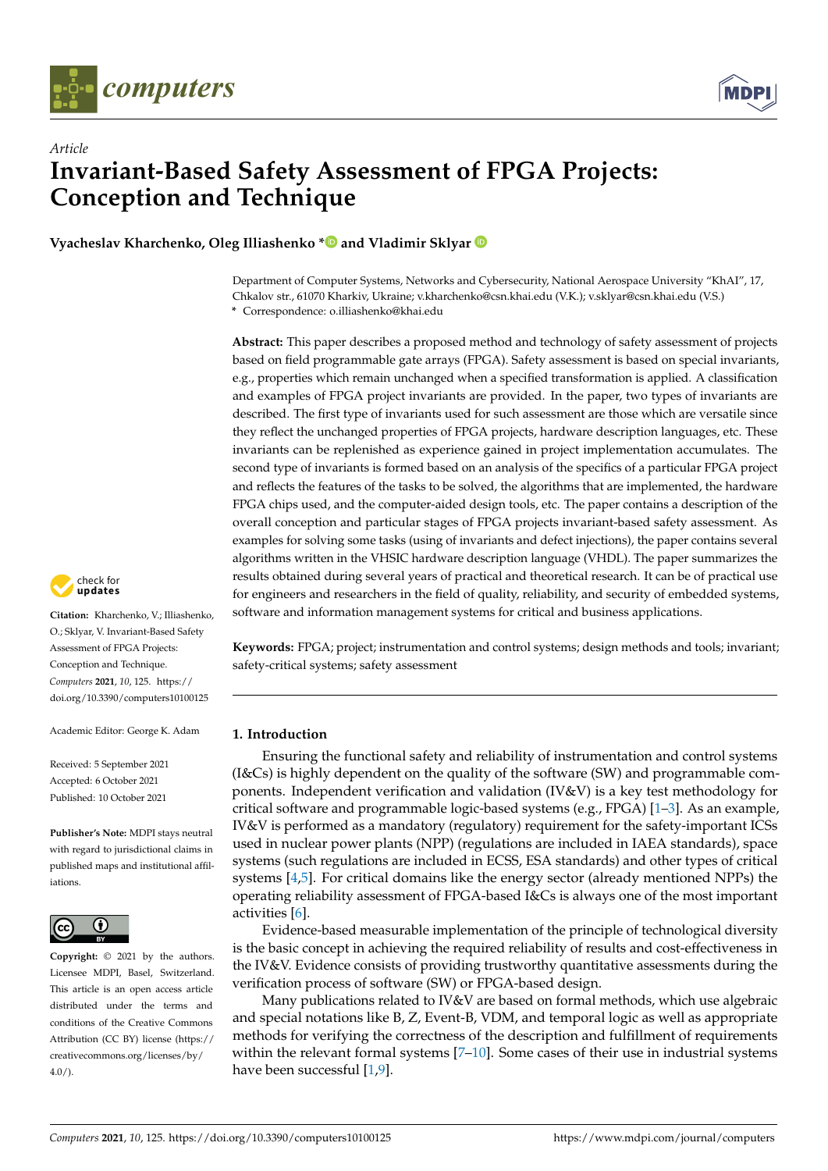



# *Article* **Invariant-Based Safety Assessment of FPGA Projects: Conception and Technique**

**Vyacheslav Kharchenko, Oleg Illiashenko [\\*](https://orcid.org/0000-0002-4672-6400) and Vladimir Sklyar**

Department of Computer Systems, Networks and Cybersecurity, National Aerospace University "KhAI", 17, Chkalov str., 61070 Kharkiv, Ukraine; v.kharchenko@csn.khai.edu (V.K.); v.sklyar@csn.khai.edu (V.S.) **\*** Correspondence: o.illiashenko@khai.edu

**Abstract:** This paper describes a proposed method and technology of safety assessment of projects based on field programmable gate arrays (FPGA). Safety assessment is based on special invariants, e.g., properties which remain unchanged when a specified transformation is applied. A classification and examples of FPGA project invariants are provided. In the paper, two types of invariants are described. The first type of invariants used for such assessment are those which are versatile since they reflect the unchanged properties of FPGA projects, hardware description languages, etc. These invariants can be replenished as experience gained in project implementation accumulates. The second type of invariants is formed based on an analysis of the specifics of a particular FPGA project and reflects the features of the tasks to be solved, the algorithms that are implemented, the hardware FPGA chips used, and the computer-aided design tools, etc. The paper contains a description of the overall conception and particular stages of FPGA projects invariant-based safety assessment. As examples for solving some tasks (using of invariants and defect injections), the paper contains several algorithms written in the VHSIC hardware description language (VHDL). The paper summarizes the results obtained during several years of practical and theoretical research. It can be of practical use for engineers and researchers in the field of quality, reliability, and security of embedded systems, software and information management systems for critical and business applications.

check for<br>**updates** 

**Citation:** Kharchenko, V.; Illiashenko, O.; Sklyar, V. Invariant-Based Safety Assessment of FPGA Projects: Conception and Technique. *Computers* **2021**, *10*, 125. [https://](https://doi.org/10.3390/computers10100125) [doi.org/10.3390/computers10100125](https://doi.org/10.3390/computers10100125)

Academic Editor: George K. Adam

Received: 5 September 2021 Accepted: 6 October 2021 Published: 10 October 2021

**Publisher's Note:** MDPI stays neutral with regard to jurisdictional claims in published maps and institutional affiliations.



**Copyright:** © 2021 by the authors. Licensee MDPI, Basel, Switzerland. This article is an open access article distributed under the terms and conditions of the Creative Commons Attribution (CC BY) license (https:/[/](https://creativecommons.org/licenses/by/4.0/) [creativecommons.org/licenses/by/](https://creativecommons.org/licenses/by/4.0/)  $4.0/$ ).

**Keywords:** FPGA; project; instrumentation and control systems; design methods and tools; invariant; safety-critical systems; safety assessment

# **1. Introduction**

Ensuring the functional safety and reliability of instrumentation and control systems (I&Cs) is highly dependent on the quality of the software (SW) and programmable components. Independent verification and validation (IV&V) is a key test methodology for critical software and programmable logic-based systems (e.g., FPGA) [\[1–](#page-16-0)[3\]](#page-16-1). As an example, IV&V is performed as a mandatory (regulatory) requirement for the safety-important ICSs used in nuclear power plants (NPP) (regulations are included in IAEA standards), space systems (such regulations are included in ECSS, ESA standards) and other types of critical systems [\[4,](#page-16-2)[5\]](#page-16-3). For critical domains like the energy sector (already mentioned NPPs) the operating reliability assessment of FPGA-based I&Cs is always one of the most important activities [\[6\]](#page-16-4).

Evidence-based measurable implementation of the principle of technological diversity is the basic concept in achieving the required reliability of results and cost-effectiveness in the IV&V. Evidence consists of providing trustworthy quantitative assessments during the verification process of software (SW) or FPGA-based design.

Many publications related to IV&V are based on formal methods, which use algebraic and special notations like B, Z, Event-B, VDM, and temporal logic as well as appropriate methods for verifying the correctness of the description and fulfillment of requirements within the relevant formal systems  $[7-10]$  $[7-10]$ . Some cases of their use in industrial systems have been successful [\[1,](#page-16-0)[9\]](#page-16-7).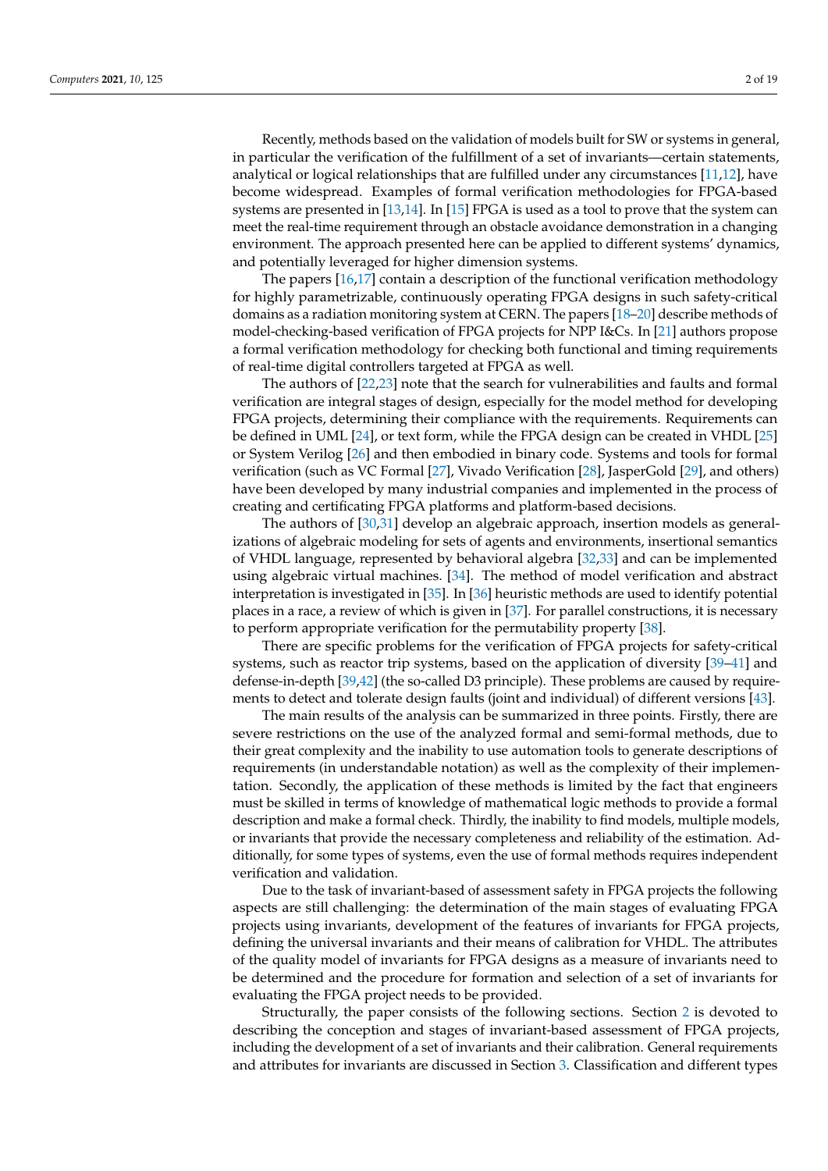Recently, methods based on the validation of models built for SW or systems in general, in particular the verification of the fulfillment of a set of invariants—certain statements, analytical or logical relationships that are fulfilled under any circumstances [\[11,](#page-16-8)[12\]](#page-16-9), have become widespread. Examples of formal verification methodologies for FPGA-based systems are presented in [\[13](#page-16-10)[,14\]](#page-16-11). In [\[15\]](#page-16-12) FPGA is used as a tool to prove that the system can meet the real-time requirement through an obstacle avoidance demonstration in a changing environment. The approach presented here can be applied to different systems' dynamics, and potentially leveraged for higher dimension systems.

The papers [\[16](#page-16-13)[,17\]](#page-16-14) contain a description of the functional verification methodology for highly parametrizable, continuously operating FPGA designs in such safety-critical domains as a radiation monitoring system at CERN. The papers [\[18](#page-17-0)[–20\]](#page-17-1) describe methods of model-checking-based verification of FPGA projects for NPP I&Cs. In [\[21\]](#page-17-2) authors propose a formal verification methodology for checking both functional and timing requirements of real-time digital controllers targeted at FPGA as well.

The authors of [\[22,](#page-17-3)[23\]](#page-17-4) note that the search for vulnerabilities and faults and formal verification are integral stages of design, especially for the model method for developing FPGA projects, determining their compliance with the requirements. Requirements can be defined in UML [\[24\]](#page-17-5), or text form, while the FPGA design can be created in VHDL [\[25\]](#page-17-6) or System Verilog [\[26\]](#page-17-7) and then embodied in binary code. Systems and tools for formal verification (such as VC Formal [\[27\]](#page-17-8), Vivado Verification [\[28\]](#page-17-9), JasperGold [\[29\]](#page-17-10), and others) have been developed by many industrial companies and implemented in the process of creating and certificating FPGA platforms and platform-based decisions.

The authors of [\[30,](#page-17-11)[31\]](#page-17-12) develop an algebraic approach, insertion models as generalizations of algebraic modeling for sets of agents and environments, insertional semantics of VHDL language, represented by behavioral algebra [\[32,](#page-17-13)[33\]](#page-17-14) and can be implemented using algebraic virtual machines. [\[34\]](#page-17-15). The method of model verification and abstract interpretation is investigated in [\[35\]](#page-17-16). In [\[36\]](#page-17-17) heuristic methods are used to identify potential places in a race, a review of which is given in [\[37\]](#page-17-18). For parallel constructions, it is necessary to perform appropriate verification for the permutability property [\[38\]](#page-17-19).

There are specific problems for the verification of FPGA projects for safety-critical systems, such as reactor trip systems, based on the application of diversity [\[39–](#page-17-20)[41\]](#page-17-21) and defense-in-depth [\[39,](#page-17-20)[42\]](#page-17-22) (the so-called D3 principle). These problems are caused by requirements to detect and tolerate design faults (joint and individual) of different versions [\[43\]](#page-17-23).

The main results of the analysis can be summarized in three points. Firstly, there are severe restrictions on the use of the analyzed formal and semi-formal methods, due to their great complexity and the inability to use automation tools to generate descriptions of requirements (in understandable notation) as well as the complexity of their implementation. Secondly, the application of these methods is limited by the fact that engineers must be skilled in terms of knowledge of mathematical logic methods to provide a formal description and make a formal check. Thirdly, the inability to find models, multiple models, or invariants that provide the necessary completeness and reliability of the estimation. Additionally, for some types of systems, even the use of formal methods requires independent verification and validation.

Due to the task of invariant-based of assessment safety in FPGA projects the following aspects are still challenging: the determination of the main stages of evaluating FPGA projects using invariants, development of the features of invariants for FPGA projects, defining the universal invariants and their means of calibration for VHDL. The attributes of the quality model of invariants for FPGA designs as a measure of invariants need to be determined and the procedure for formation and selection of a set of invariants for evaluating the FPGA project needs to be provided.

Structurally, the paper consists of the following sections. Section [2](#page-2-0) is devoted to describing the conception and stages of invariant-based assessment of FPGA projects, including the development of a set of invariants and their calibration. General requirements and attributes for invariants are discussed in Section [3.](#page-5-0) Classification and different types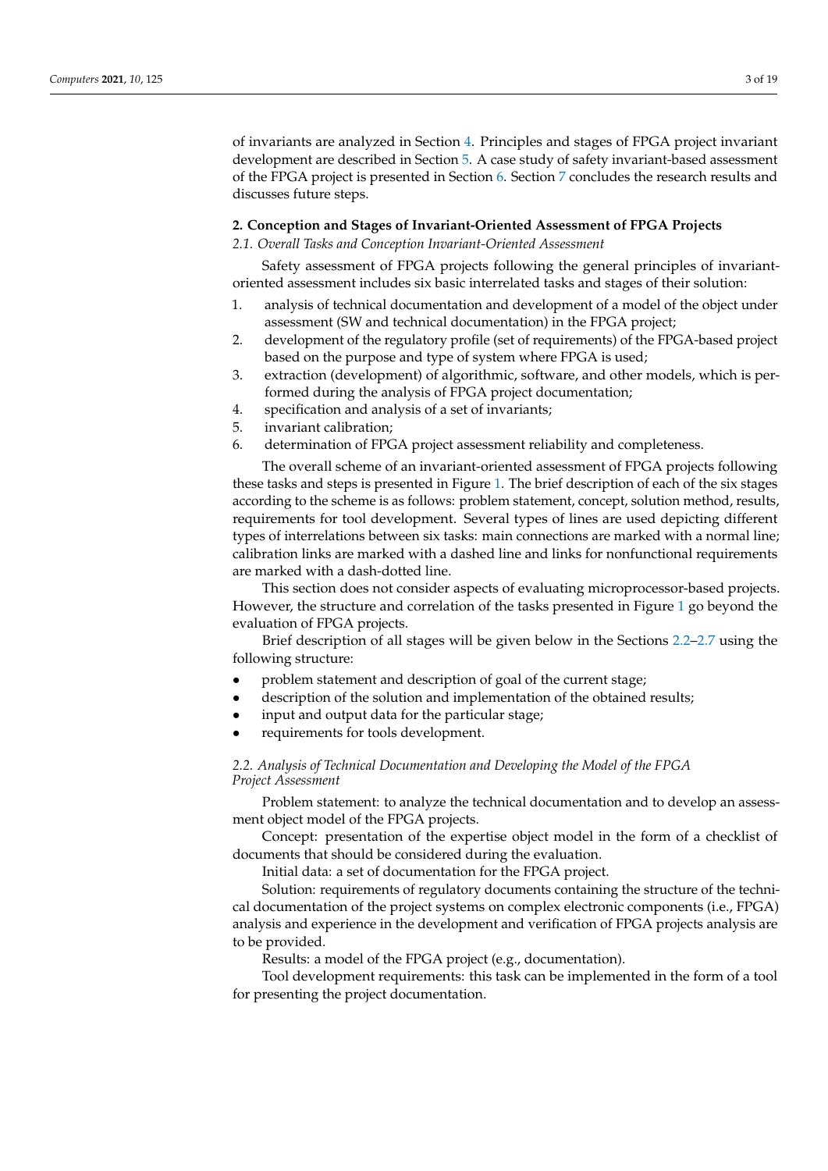of invariants are analyzed in Section [4.](#page-6-0) Principles and stages of FPGA project invariant development are described in Section [5.](#page-9-0) A case study of safety invariant-based assessment of the FPGA project is presented in Section [6.](#page-13-0) Section [7](#page-14-0) concludes the research results and discusses future steps.

#### <span id="page-2-0"></span>**2. Conception and Stages of Invariant-Oriented Assessment of FPGA Projects**

#### *2.1. Overall Tasks and Conception Invariant-Oriented Assessment*

Safety assessment of FPGA projects following the general principles of invariantoriented assessment includes six basic interrelated tasks and stages of their solution:

- 1. analysis of technical documentation and development of a model of the object under assessment (SW and technical documentation) in the FPGA project;
- 2. development of the regulatory profile (set of requirements) of the FPGA-based project based on the purpose and type of system where FPGA is used;
- 3. extraction (development) of algorithmic, software, and other models, which is performed during the analysis of FPGA project documentation;
- 4. specification and analysis of a set of invariants;
- 5. invariant calibration;
- 6. determination of FPGA project assessment reliability and completeness.

The overall scheme of an invariant-oriented assessment of FPGA projects following these tasks and steps is presented in Figure [1.](#page-3-0) The brief description of each of the six stages according to the scheme is as follows: problem statement, concept, solution method, results, requirements for tool development. Several types of lines are used depicting different types of interrelations between six tasks: main connections are marked with a normal line; calibration links are marked with a dashed line and links for nonfunctional requirements are marked with a dash-dotted line.

This section does not consider aspects of evaluating microprocessor-based projects. However, the structure and correlation of the tasks presented in Figure [1](#page-3-0) go beyond the evaluation of FPGA projects.

Brief description of all stages will be given below in the Sections [2.2–](#page-2-1)[2.7](#page-5-1) using the following structure:

- problem statement and description of goal of the current stage;
- description of the solution and implementation of the obtained results;
- input and output data for the particular stage;
- requirements for tools development.

## <span id="page-2-1"></span>*2.2. Analysis of Technical Documentation and Developing the Model of the FPGA Project Assessment*

Problem statement: to analyze the technical documentation and to develop an assessment object model of the FPGA projects.

Concept: presentation of the expertise object model in the form of a checklist of documents that should be considered during the evaluation.

Initial data: a set of documentation for the FPGA project.

Solution: requirements of regulatory documents containing the structure of the technical documentation of the project systems on complex electronic components (i.e., FPGA) analysis and experience in the development and verification of FPGA projects analysis are to be provided.

Results: a model of the FPGA project (e.g., documentation).

Tool development requirements: this task can be implemented in the form of a tool for presenting the project documentation.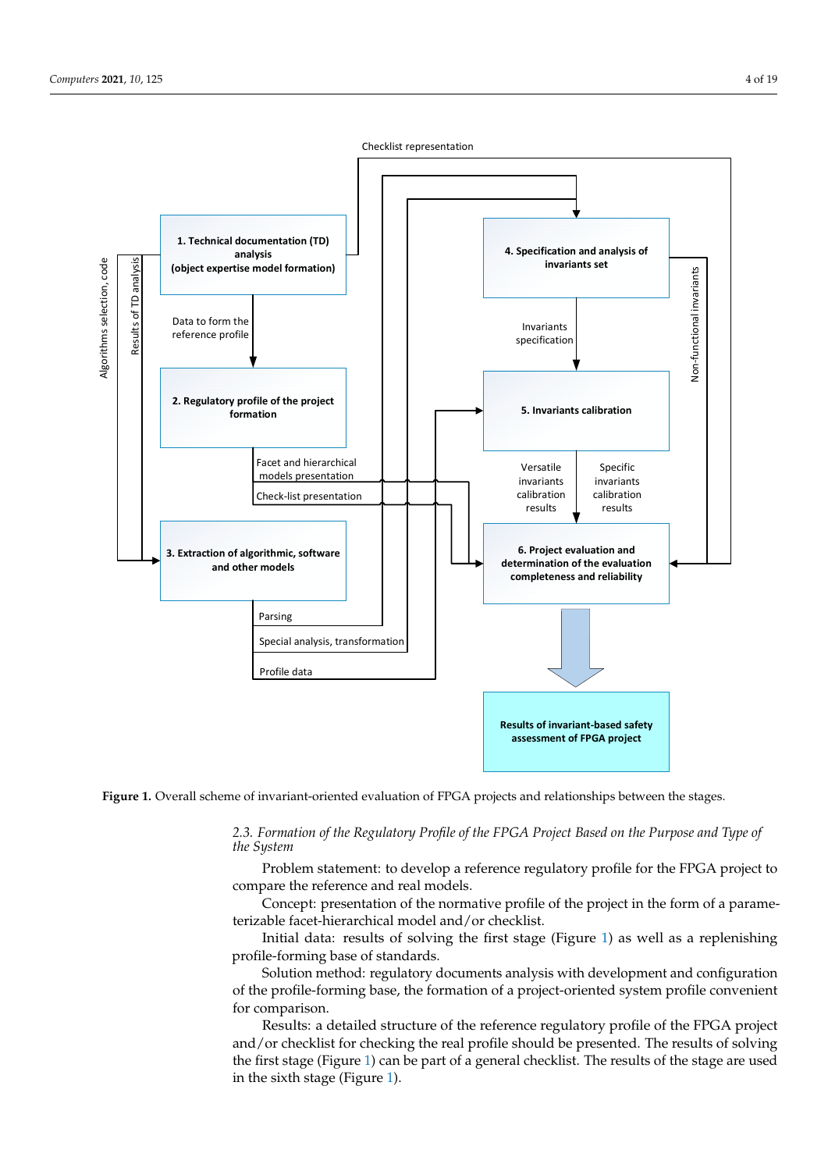<span id="page-3-0"></span>

Figure 1. Overall scheme of invariant-oriented evaluation of FPGA projects and relationships between the stages.

2.3. Formation of the Regulatory Profile of the FPGA Project Based on the Purpose and Type of following structure: *the System*

Problem statement: to develop a reference regulatory profile for the FPGA project to compare the reference and real models.

Concept: presentation of the normative profile of the project in the form of a parameterizable facet-hierarchical model and/or checklist.

*2.2. Analysis of Technical Documentation and Developing the Model of the FPGA Project*  profile-forming base of standards. Initial data: results of solving the first stage (Figure [1\)](#page-3-0) as well as a replenishing

Solution method: regulatory documents analysis with development and configuration of the profile-forming base, the formation of a project-oriented system profile convenient for comparison.

Results: a detailed structure of the reference regulatory profile of the FPGA project and/or checklist for checking the real profile should be presented. The results of solving the first stage (Figure 1) can be part of a general checklist. The results of the stage are used in the sixth stage (Figure [1\)](#page-3-0).

Checklist representation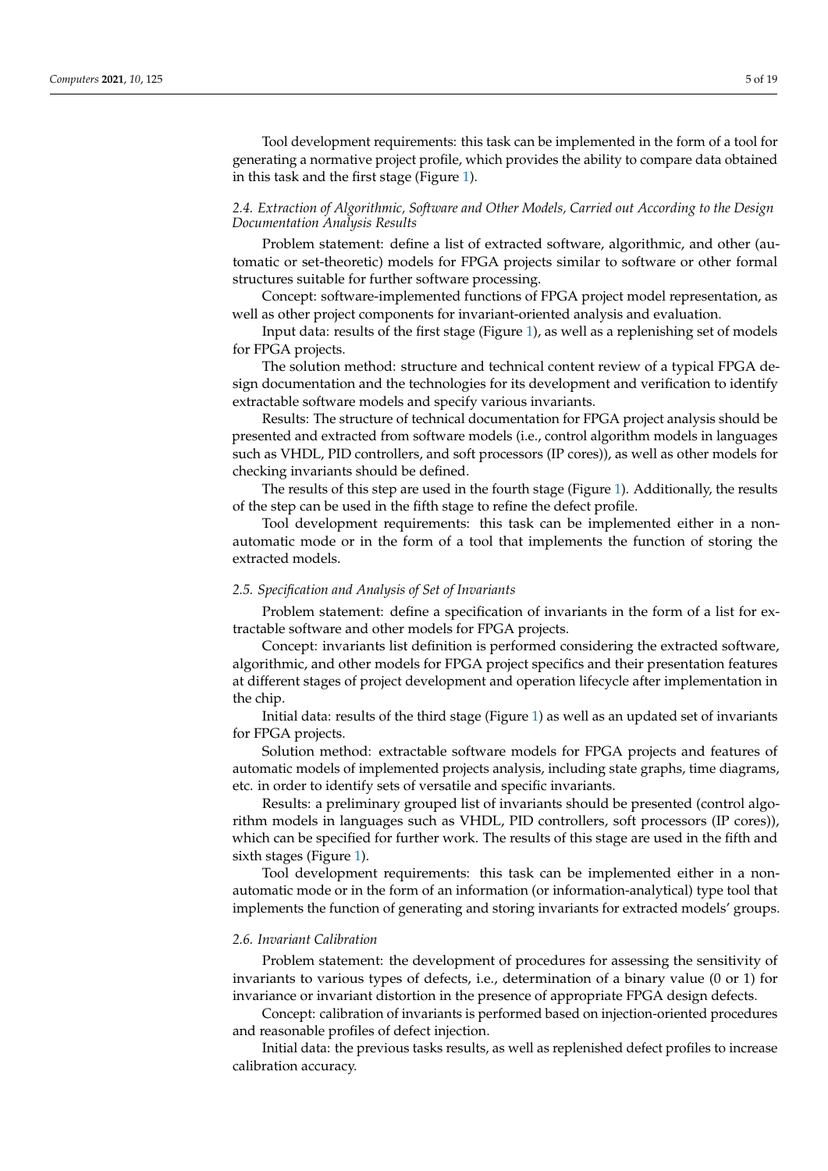Tool development requirements: this task can be implemented in the form of a tool for generating a normative project profile, which provides the ability to compare data obtained in this task and the first stage (Figure [1\)](#page-3-0).

## *2.4. Extraction of Algorithmic, Software and Other Models, Carried out According to the Design Documentation Analysis Results*

Problem statement: define a list of extracted software, algorithmic, and other (automatic or set-theoretic) models for FPGA projects similar to software or other formal structures suitable for further software processing.

Concept: software-implemented functions of FPGA project model representation, as well as other project components for invariant-oriented analysis and evaluation.

Input data: results of the first stage (Figure [1\)](#page-3-0), as well as a replenishing set of models for FPGA projects.

The solution method: structure and technical content review of a typical FPGA design documentation and the technologies for its development and verification to identify extractable software models and specify various invariants.

Results: The structure of technical documentation for FPGA project analysis should be presented and extracted from software models (i.e., control algorithm models in languages such as VHDL, PID controllers, and soft processors (IP cores)), as well as other models for checking invariants should be defined.

The results of this step are used in the fourth stage (Figure [1\)](#page-3-0). Additionally, the results of the step can be used in the fifth stage to refine the defect profile.

Tool development requirements: this task can be implemented either in a nonautomatic mode or in the form of a tool that implements the function of storing the extracted models.

## *2.5. Specification and Analysis of Set of Invariants*

Problem statement: define a specification of invariants in the form of a list for extractable software and other models for FPGA projects.

Concept: invariants list definition is performed considering the extracted software, algorithmic, and other models for FPGA project specifics and their presentation features at different stages of project development and operation lifecycle after implementation in the chip.

Initial data: results of the third stage (Figure [1\)](#page-3-0) as well as an updated set of invariants for FPGA projects.

Solution method: extractable software models for FPGA projects and features of automatic models of implemented projects analysis, including state graphs, time diagrams, etc. in order to identify sets of versatile and specific invariants.

Results: a preliminary grouped list of invariants should be presented (control algorithm models in languages such as VHDL, PID controllers, soft processors (IP cores)), which can be specified for further work. The results of this stage are used in the fifth and sixth stages (Figure [1\)](#page-3-0).

Tool development requirements: this task can be implemented either in a nonautomatic mode or in the form of an information (or information-analytical) type tool that implements the function of generating and storing invariants for extracted models' groups.

#### *2.6. Invariant Calibration*

Problem statement: the development of procedures for assessing the sensitivity of invariants to various types of defects, i.e., determination of a binary value (0 or 1) for invariance or invariant distortion in the presence of appropriate FPGA design defects.

Concept: calibration of invariants is performed based on injection-oriented procedures and reasonable profiles of defect injection.

Initial data: the previous tasks results, as well as replenished defect profiles to increase calibration accuracy.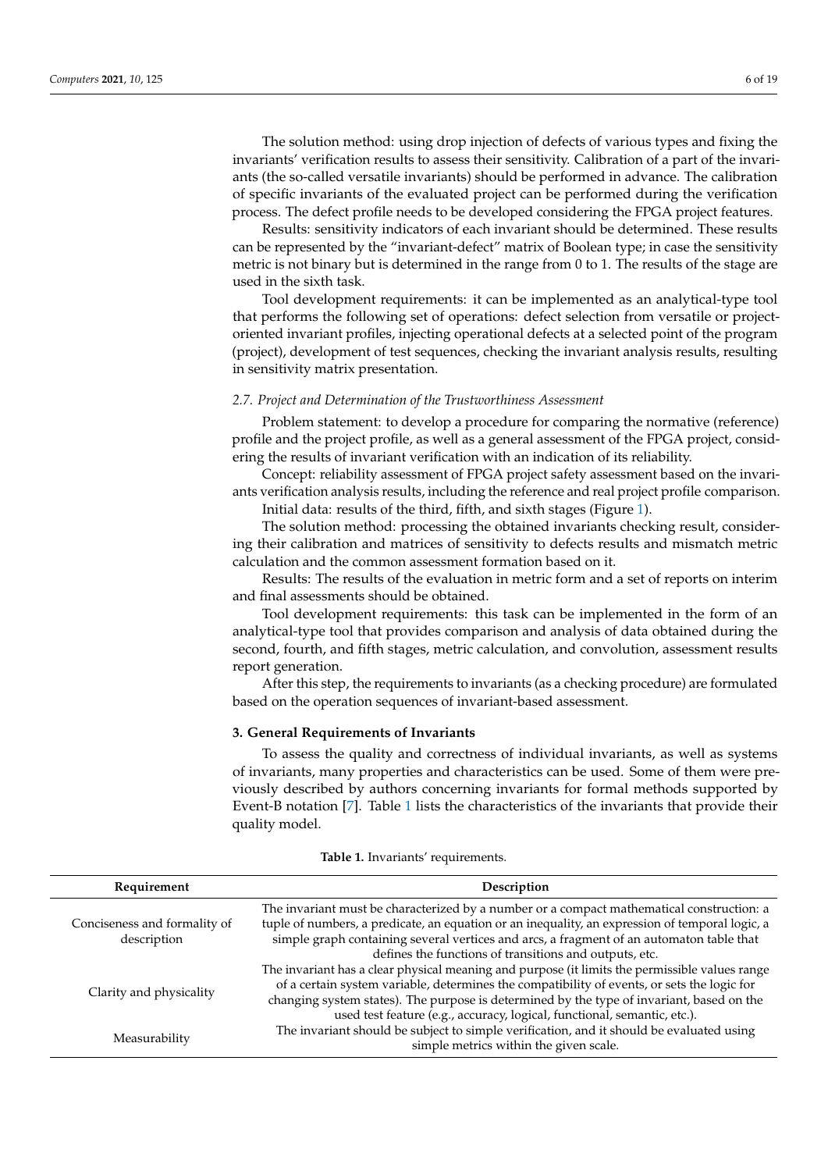The solution method: using drop injection of defects of various types and fixing the invariants' verification results to assess their sensitivity. Calibration of a part of the invariants (the so-called versatile invariants) should be performed in advance. The calibration of specific invariants of the evaluated project can be performed during the verification process. The defect profile needs to be developed considering the FPGA project features.

Results: sensitivity indicators of each invariant should be determined. These results can be represented by the "invariant-defect" matrix of Boolean type; in case the sensitivity metric is not binary but is determined in the range from 0 to 1. The results of the stage are used in the sixth task.

Tool development requirements: it can be implemented as an analytical-type tool that performs the following set of operations: defect selection from versatile or projectoriented invariant profiles, injecting operational defects at a selected point of the program (project), development of test sequences, checking the invariant analysis results, resulting in sensitivity matrix presentation.

#### <span id="page-5-1"></span>*2.7. Project and Determination of the Trustworthiness Assessment*

Problem statement: to develop a procedure for comparing the normative (reference) profile and the project profile, as well as a general assessment of the FPGA project, considering the results of invariant verification with an indication of its reliability.

Concept: reliability assessment of FPGA project safety assessment based on the invariants verification analysis results, including the reference and real project profile comparison.

Initial data: results of the third, fifth, and sixth stages (Figure [1\)](#page-3-0).

The solution method: processing the obtained invariants checking result, considering their calibration and matrices of sensitivity to defects results and mismatch metric calculation and the common assessment formation based on it.

Results: The results of the evaluation in metric form and a set of reports on interim and final assessments should be obtained.

Tool development requirements: this task can be implemented in the form of an analytical-type tool that provides comparison and analysis of data obtained during the second, fourth, and fifth stages, metric calculation, and convolution, assessment results report generation.

After this step, the requirements to invariants (as a checking procedure) are formulated based on the operation sequences of invariant-based assessment.

#### <span id="page-5-0"></span>**3. General Requirements of Invariants**

To assess the quality and correctness of individual invariants, as well as systems of invariants, many properties and characteristics can be used. Some of them were previously described by authors concerning invariants for formal methods supported by Event-B notation [\[7\]](#page-16-5). Table [1](#page-6-1) lists the characteristics of the invariants that provide their quality model.

| Requirement                                 | Description                                                                                                                                                                                                                                                                                                                                                            |  |
|---------------------------------------------|------------------------------------------------------------------------------------------------------------------------------------------------------------------------------------------------------------------------------------------------------------------------------------------------------------------------------------------------------------------------|--|
| Conciseness and formality of<br>description | The invariant must be characterized by a number or a compact mathematical construction: a<br>tuple of numbers, a predicate, an equation or an inequality, an expression of temporal logic, a<br>simple graph containing several vertices and arcs, a fragment of an automaton table that<br>defines the functions of transitions and outputs, etc.                     |  |
| Clarity and physicality                     | The invariant has a clear physical meaning and purpose (it limits the permissible values range<br>of a certain system variable, determines the compatibility of events, or sets the logic for<br>changing system states). The purpose is determined by the type of invariant, based on the<br>used test feature (e.g., accuracy, logical, functional, semantic, etc.). |  |
| Measurability                               | The invariant should be subject to simple verification, and it should be evaluated using<br>simple metrics within the given scale.                                                                                                                                                                                                                                     |  |

#### **Table 1.** Invariants' requirements.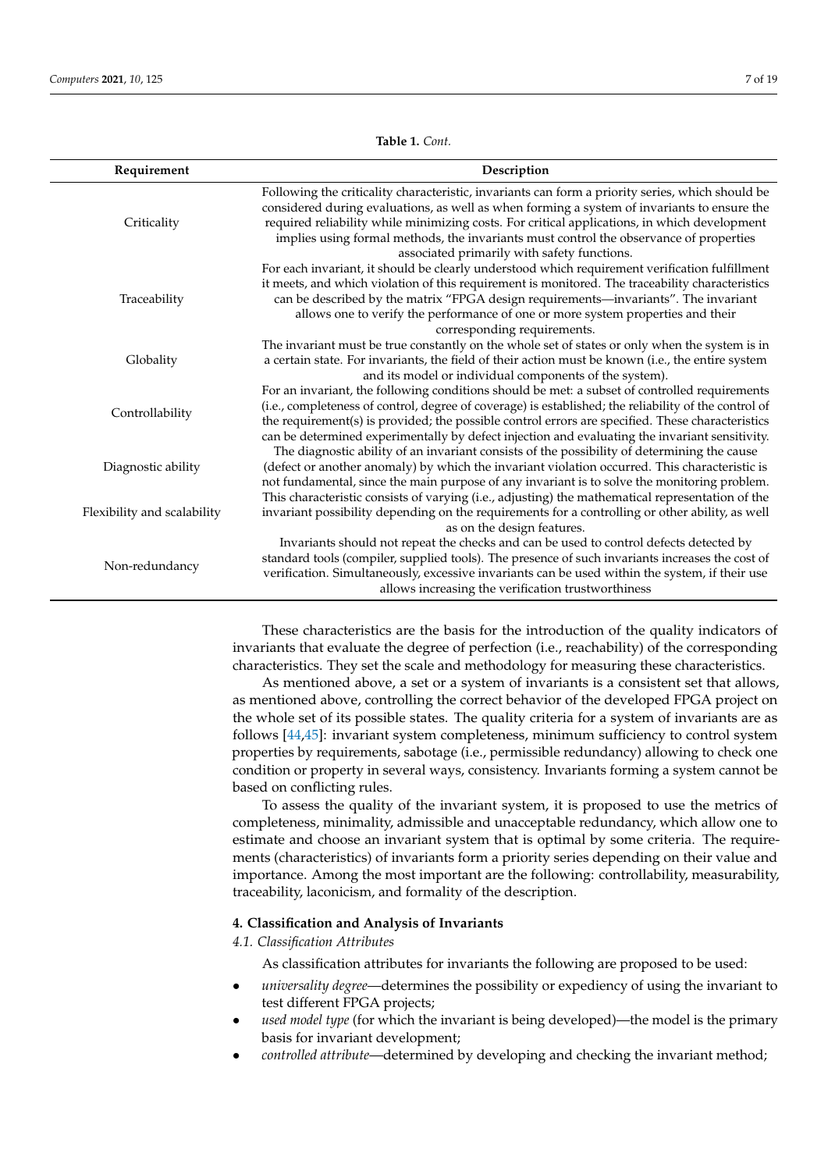<span id="page-6-1"></span>**Requirement Description Criticality** Following the criticality characteristic, invariants can form a priority series, which should be considered during evaluations, as well as when forming a system of invariants to ensure the required reliability while minimizing costs. For critical applications, in which development implies using formal methods, the invariants must control the observance of properties associated primarily with safety functions. Traceability For each invariant, it should be clearly understood which requirement verification fulfillment it meets, and which violation of this requirement is monitored. The traceability characteristics can be described by the matrix "FPGA design requirements—invariants". The invariant allows one to verify the performance of one or more system properties and their corresponding requirements. Globality The invariant must be true constantly on the whole set of states or only when the system is in a certain state. For invariants, the field of their action must be known (i.e., the entire system and its model or individual components of the system). Controllability For an invariant, the following conditions should be met: a subset of controlled requirements (i.e., completeness of control, degree of coverage) is established; the reliability of the control of the requirement(s) is provided; the possible control errors are specified. These characteristics can be determined experimentally by defect injection and evaluating the invariant sensitivity. Diagnostic ability The diagnostic ability of an invariant consists of the possibility of determining the cause (defect or another anomaly) by which the invariant violation occurred. This characteristic is not fundamental, since the main purpose of any invariant is to solve the monitoring problem. Flexibility and scalability This characteristic consists of varying (i.e., adjusting) the mathematical representation of the invariant possibility depending on the requirements for a controlling or other ability, as well as on the design features. Non-redundancy Invariants should not repeat the checks and can be used to control defects detected by standard tools (compiler, supplied tools). The presence of such invariants increases the cost of verification. Simultaneously, excessive invariants can be used within the system, if their use

> These characteristics are the basis for the introduction of the quality indicators of invariants that evaluate the degree of perfection (i.e., reachability) of the corresponding characteristics. They set the scale and methodology for measuring these characteristics.

allows increasing the verification trustworthiness

As mentioned above, a set or a system of invariants is a consistent set that allows, as mentioned above, controlling the correct behavior of the developed FPGA project on the whole set of its possible states. The quality criteria for a system of invariants are as follows [\[44,](#page-17-24)[45\]](#page-18-0): invariant system completeness, minimum sufficiency to control system properties by requirements, sabotage (i.e., permissible redundancy) allowing to check one condition or property in several ways, consistency. Invariants forming a system cannot be based on conflicting rules.

To assess the quality of the invariant system, it is proposed to use the metrics of completeness, minimality, admissible and unacceptable redundancy, which allow one to estimate and choose an invariant system that is optimal by some criteria. The requirements (characteristics) of invariants form a priority series depending on their value and importance. Among the most important are the following: controllability, measurability, traceability, laconicism, and formality of the description.

#### <span id="page-6-0"></span>**4. Classification and Analysis of Invariants**

*4.1. Classification Attributes*

As classification attributes for invariants the following are proposed to be used:

- *universality degree*—determines the possibility or expediency of using the invariant to test different FPGA projects;
- *used model type* (for which the invariant is being developed)—the model is the primary basis for invariant development;
- *controlled attribute*—determined by developing and checking the invariant method;

**Table 1.** *Cont.*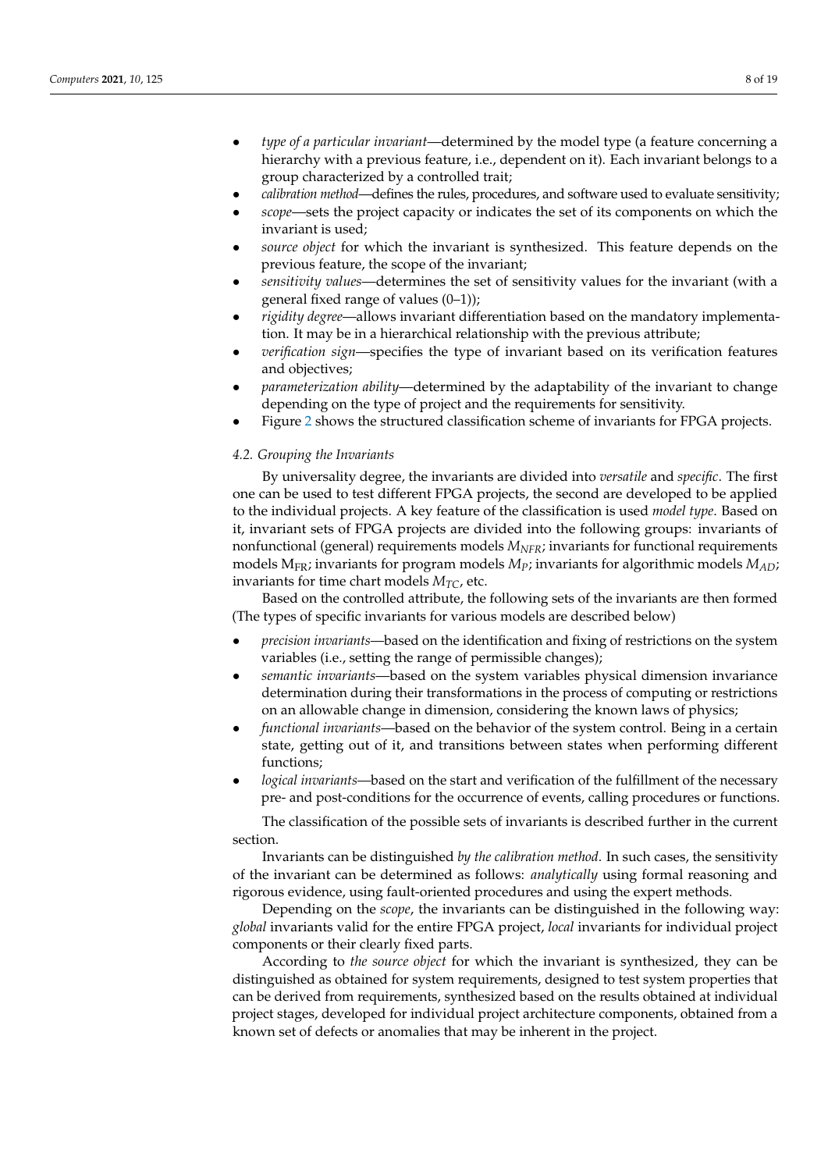- *type of a particular invariant*—determined by the model type (a feature concerning a hierarchy with a previous feature, i.e., dependent on it). Each invariant belongs to a group characterized by a controlled trait;
- *calibration method*—defines the rules, procedures, and software used to evaluate sensitivity;
- *scope*—sets the project capacity or indicates the set of its components on which the invariant is used;
- *source object* for which the invariant is synthesized. This feature depends on the previous feature, the scope of the invariant;
- *sensitivity values*—determines the set of sensitivity values for the invariant (with a general fixed range of values (0–1));
- *rigidity degree*—allows invariant differentiation based on the mandatory implementation. It may be in a hierarchical relationship with the previous attribute;
- *verification sign*—specifies the type of invariant based on its verification features and objectives;
- *parameterization ability*—determined by the adaptability of the invariant to change depending on the type of project and the requirements for sensitivity.
- Figure [2](#page-8-0) shows the structured classification scheme of invariants for FPGA projects.

#### *4.2. Grouping the Invariants*

By universality degree, the invariants are divided into *versatile* and *specific*. The first one can be used to test different FPGA projects, the second are developed to be applied to the individual projects. A key feature of the classification is used *model type*. Based on it, invariant sets of FPGA projects are divided into the following groups: invariants of nonfunctional (general) requirements models *MNFR*; invariants for functional requirements models MFR; invariants for program models *MP*; invariants for algorithmic models *MAD*; invariants for time chart models  $M_{TC}$ , etc.

Based on the controlled attribute, the following sets of the invariants are then formed (The types of specific invariants for various models are described below)

- *precision invariants*—based on the identification and fixing of restrictions on the system variables (i.e., setting the range of permissible changes);
- *semantic invariants*—based on the system variables physical dimension invariance determination during their transformations in the process of computing or restrictions on an allowable change in dimension, considering the known laws of physics;
- *functional invariants*—based on the behavior of the system control. Being in a certain state, getting out of it, and transitions between states when performing different functions;
- *logical invariants*—based on the start and verification of the fulfillment of the necessary pre- and post-conditions for the occurrence of events, calling procedures or functions.

The classification of the possible sets of invariants is described further in the current section.

Invariants can be distinguished *by the calibration method*. In such cases, the sensitivity of the invariant can be determined as follows: *analytically* using formal reasoning and rigorous evidence, using fault-oriented procedures and using the expert methods.

Depending on the *scope*, the invariants can be distinguished in the following way: *global* invariants valid for the entire FPGA project, *local* invariants for individual project components or their clearly fixed parts.

According to *the source object* for which the invariant is synthesized, they can be distinguished as obtained for system requirements, designed to test system properties that can be derived from requirements, synthesized based on the results obtained at individual project stages, developed for individual project architecture components, obtained from a known set of defects or anomalies that may be inherent in the project.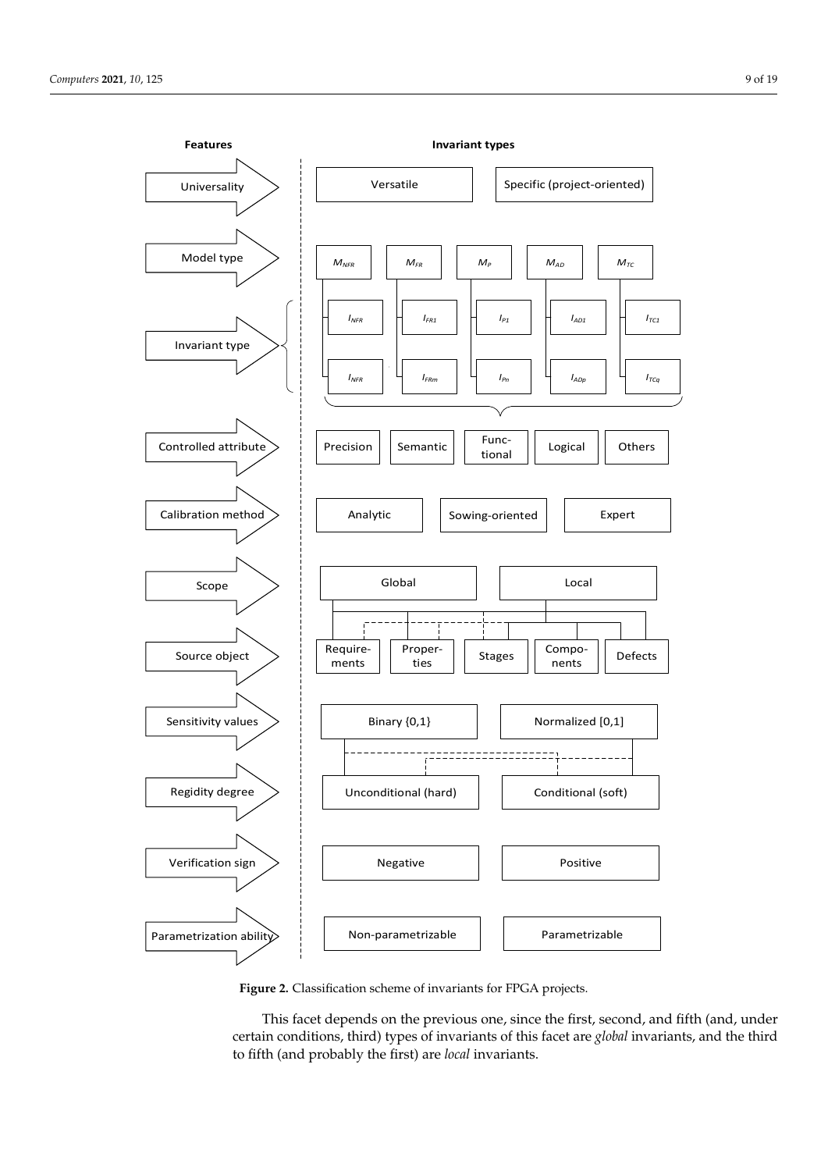<span id="page-8-0"></span>

**Figure 2.** Classification scheme of invariants for FPGA projects. **Figure 2.** Classification scheme of invariants for FPGA projects.

This facet depends on the previous one, since the first, second, and fifth (and, under certain conditions*,* third) types of invariants of this facet are *global* invariants, and the third to fifth (and probably the first) are *local* invariants.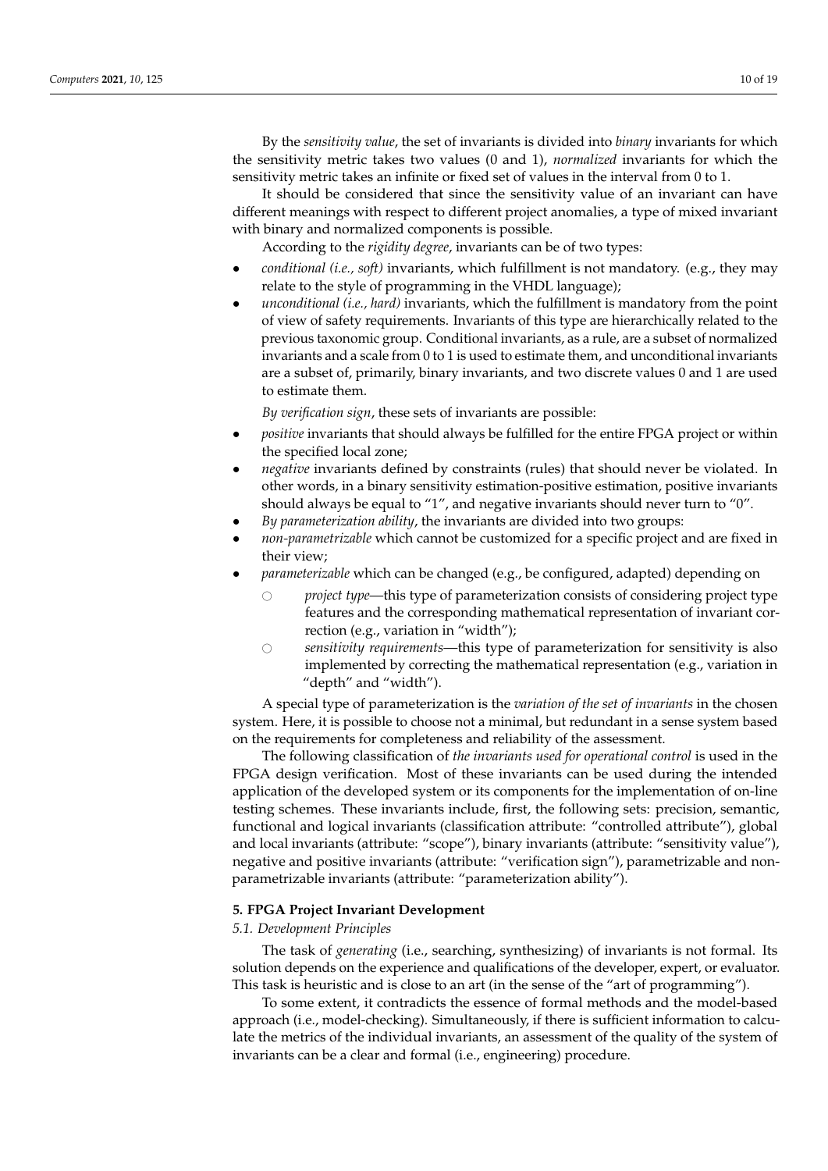By the *sensitivity value*, the set of invariants is divided into *binary* invariants for which the sensitivity metric takes two values (0 and 1), *normalized* invariants for which the sensitivity metric takes an infinite or fixed set of values in the interval from 0 to 1.

It should be considered that since the sensitivity value of an invariant can have different meanings with respect to different project anomalies, a type of mixed invariant with binary and normalized components is possible.

According to the *rigidity degree*, invariants can be of two types:

- *conditional (i.e., soft)* invariants, which fulfillment is not mandatory. (e.g., they may relate to the style of programming in the VHDL language);
- *unconditional (i.e., hard)* invariants, which the fulfillment is mandatory from the point of view of safety requirements. Invariants of this type are hierarchically related to the previous taxonomic group. Conditional invariants, as a rule, are a subset of normalized invariants and a scale from 0 to 1 is used to estimate them, and unconditional invariants are a subset of, primarily, binary invariants, and two discrete values 0 and 1 are used to estimate them.

*By verification sign*, these sets of invariants are possible:

- *positive* invariants that should always be fulfilled for the entire FPGA project or within the specified local zone;
- *negative* invariants defined by constraints (rules) that should never be violated. In other words, in a binary sensitivity estimation-positive estimation, positive invariants should always be equal to "1", and negative invariants should never turn to "0".
- *By parameterization ability*, the invariants are divided into two groups:
- *non-parametrizable* which cannot be customized for a specific project and are fixed in their view;
- *parameterizable* which can be changed (e.g., be configured, adapted) depending on
	- $\circ$  *project type*—this type of parameterization consists of considering project type features and the corresponding mathematical representation of invariant correction (e.g., variation in "width");
	- # *sensitivity requirements*—this type of parameterization for sensitivity is also implemented by correcting the mathematical representation (e.g., variation in "depth" and "width").

A special type of parameterization is the *variation of the set of invariants* in the chosen system. Here, it is possible to choose not a minimal, but redundant in a sense system based on the requirements for completeness and reliability of the assessment.

The following classification of *the invariants used for operational control* is used in the FPGA design verification. Most of these invariants can be used during the intended application of the developed system or its components for the implementation of on-line testing schemes. These invariants include, first, the following sets: precision, semantic, functional and logical invariants (classification attribute: "controlled attribute"), global and local invariants (attribute: "scope"), binary invariants (attribute: "sensitivity value"), negative and positive invariants (attribute: "verification sign"), parametrizable and nonparametrizable invariants (attribute: "parameterization ability").

#### <span id="page-9-0"></span>**5. FPGA Project Invariant Development**

#### *5.1. Development Principles*

The task of *generating* (i.e., searching, synthesizing) of invariants is not formal. Its solution depends on the experience and qualifications of the developer, expert, or evaluator. This task is heuristic and is close to an art (in the sense of the "art of programming").

To some extent, it contradicts the essence of formal methods and the model-based approach (i.e., model-checking). Simultaneously, if there is sufficient information to calculate the metrics of the individual invariants, an assessment of the quality of the system of invariants can be a clear and formal (i.e., engineering) procedure.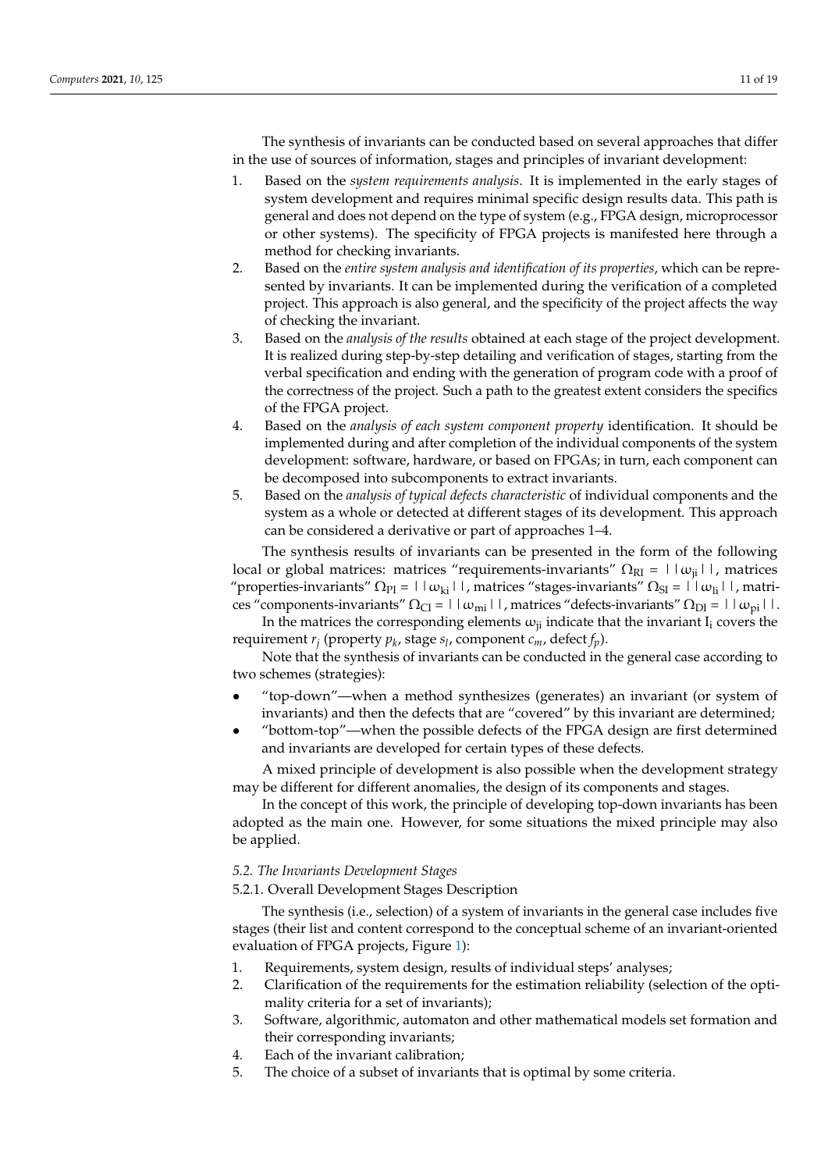The synthesis of invariants can be conducted based on several approaches that differ in the use of sources of information, stages and principles of invariant development:

- 1. Based on the *system requirements analysis*. It is implemented in the early stages of system development and requires minimal specific design results data. This path is general and does not depend on the type of system (e.g., FPGA design, microprocessor or other systems). The specificity of FPGA projects is manifested here through a method for checking invariants.
- 2. Based on the *entire system analysis and identification of its properties*, which can be represented by invariants. It can be implemented during the verification of a completed project. This approach is also general, and the specificity of the project affects the way of checking the invariant.
- 3. Based on the *analysis of the results* obtained at each stage of the project development. It is realized during step-by-step detailing and verification of stages, starting from the verbal specification and ending with the generation of program code with a proof of the correctness of the project. Such a path to the greatest extent considers the specifics of the FPGA project.
- 4. Based on the *analysis of each system component property* identification. It should be implemented during and after completion of the individual components of the system development: software, hardware, or based on FPGAs; in turn, each component can be decomposed into subcomponents to extract invariants.
- 5. Based on the *analysis of typical defects characteristic* of individual components and the system as a whole or detected at different stages of its development. This approach can be considered a derivative or part of approaches 1–4.

The synthesis results of invariants can be presented in the form of the following local or global matrices: matrices "requirements-invariants"  $\Omega_{RI} = | \alpha_{ij} |$ , matrices "properties-invariants"  $\Omega_{PI}$  = || $\omega_{ki}$ ||, matrices "stages-invariants"  $\Omega_{SI}$  = || $\omega_{li}$ ||, matrices "components-invariants"  $\Omega_{CI} = ||\omega_{mi}||$ , matrices "defects-invariants"  $\Omega_{DI} = ||\omega_{ni}||$ .

In the matrices the corresponding elements  $\omega_{ii}$  indicate that the invariant I<sub>i</sub> covers the requirement *r<sup>j</sup>* (property *p<sup>k</sup>* , stage *s<sup>l</sup>* , component *cm*, defect *fp*).

Note that the synthesis of invariants can be conducted in the general case according to two schemes (strategies):

- "top-down"—when a method synthesizes (generates) an invariant (or system of invariants) and then the defects that are "covered" by this invariant are determined;
- "bottom-top"—when the possible defects of the FPGA design are first determined and invariants are developed for certain types of these defects.

A mixed principle of development is also possible when the development strategy may be different for different anomalies, the design of its components and stages.

In the concept of this work, the principle of developing top-down invariants has been adopted as the main one. However, for some situations the mixed principle may also be applied.

#### *5.2. The Invariants Development Stages*

## 5.2.1. Overall Development Stages Description

The synthesis (i.e., selection) of a system of invariants in the general case includes five stages (their list and content correspond to the conceptual scheme of an invariant-oriented evaluation of FPGA projects, Figure [1\)](#page-3-0):

- 1. Requirements, system design, results of individual steps' analyses;
- 2. Clarification of the requirements for the estimation reliability (selection of the optimality criteria for a set of invariants);
- 3. Software, algorithmic, automaton and other mathematical models set formation and their corresponding invariants;
- 4. Each of the invariant calibration;
- 5. The choice of a subset of invariants that is optimal by some criteria.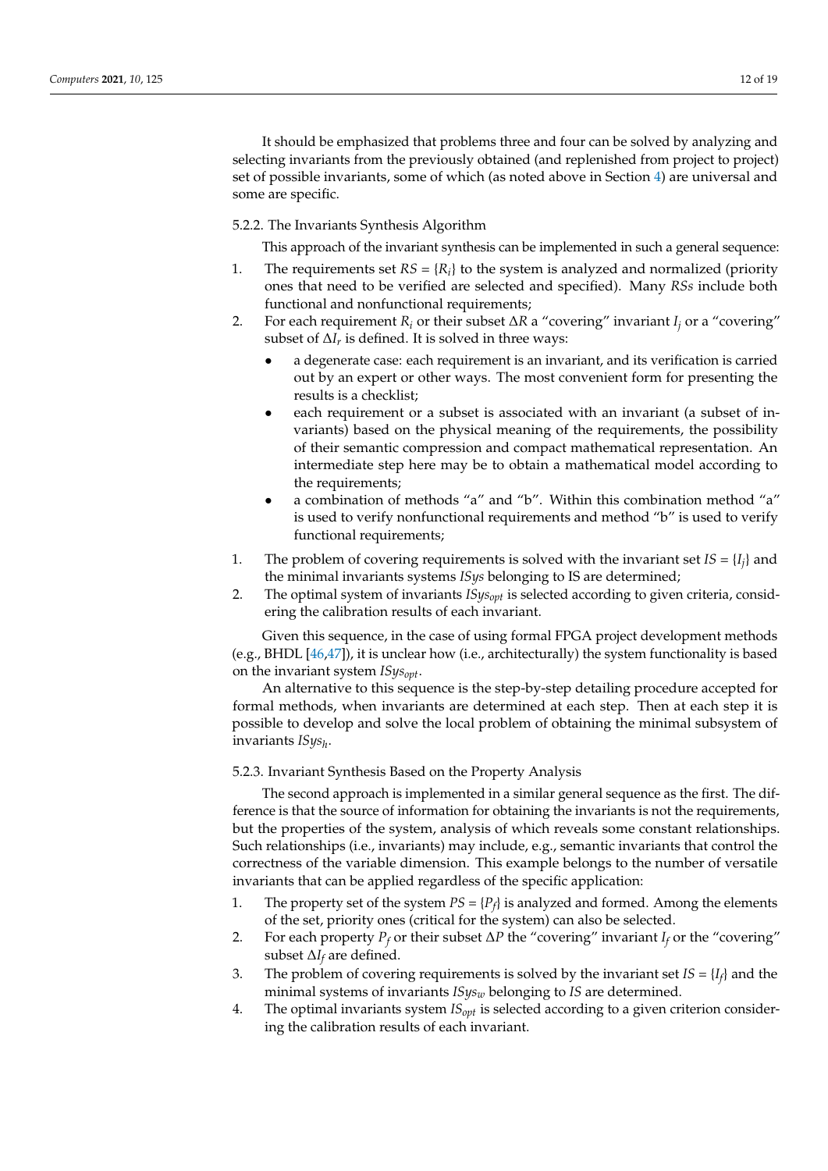It should be emphasized that problems three and four can be solved by analyzing and selecting invariants from the previously obtained (and replenished from project to project) set of possible invariants, some of which (as noted above in Section [4\)](#page-6-0) are universal and some are specific.

## 5.2.2. The Invariants Synthesis Algorithm

This approach of the invariant synthesis can be implemented in such a general sequence:

- 1. The requirements set  $RS = \{R_i\}$  to the system is analyzed and normalized (priority ones that need to be verified are selected and specified). Many *RSs* include both functional and nonfunctional requirements;
- 2. For each requirement  $R_i$  or their subset  $\Delta R$  a "covering" invariant  $I_i$  or a "covering" subset of  $\Delta I_r$  is defined. It is solved in three ways:
	- a degenerate case: each requirement is an invariant, and its verification is carried out by an expert or other ways. The most convenient form for presenting the results is a checklist;
	- each requirement or a subset is associated with an invariant (a subset of invariants) based on the physical meaning of the requirements, the possibility of their semantic compression and compact mathematical representation. An intermediate step here may be to obtain a mathematical model according to the requirements;
	- a combination of methods "a" and "b". Within this combination method "a" is used to verify nonfunctional requirements and method "b" is used to verify functional requirements;
- 1. The problem of covering requirements is solved with the invariant set  $IS = \{I_j\}$  and the minimal invariants systems *ISys* belonging to IS are determined;
- 2. The optimal system of invariants *ISysopt* is selected according to given criteria, considering the calibration results of each invariant.

Given this sequence, in the case of using formal FPGA project development methods (e.g., BHDL [\[46,](#page-18-1)[47\]](#page-18-2)), it is unclear how (i.e., architecturally) the system functionality is based on the invariant system *ISysopt*.

An alternative to this sequence is the step-by-step detailing procedure accepted for formal methods, when invariants are determined at each step. Then at each step it is possible to develop and solve the local problem of obtaining the minimal subsystem of invariants *ISys<sup>h</sup>* .

## 5.2.3. Invariant Synthesis Based on the Property Analysis

The second approach is implemented in a similar general sequence as the first. The difference is that the source of information for obtaining the invariants is not the requirements, but the properties of the system, analysis of which reveals some constant relationships. Such relationships (i.e., invariants) may include, e.g., semantic invariants that control the correctness of the variable dimension. This example belongs to the number of versatile invariants that can be applied regardless of the specific application:

- 1. The property set of the system  $PS = {P_f}$  is analyzed and formed. Among the elements of the set, priority ones (critical for the system) can also be selected.
- 2. For each property  $P_f$  or their subset  $\Delta P$  the "covering" invariant  $I_f$  or the "covering" subset ∆*I<sup>f</sup>* are defined.
- 3. The problem of covering requirements is solved by the invariant set  $IS = \{I_f\}$  and the minimal systems of invariants *ISys<sup>w</sup>* belonging to *IS* are determined.
- 4. The optimal invariants system *ISopt* is selected according to a given criterion considering the calibration results of each invariant.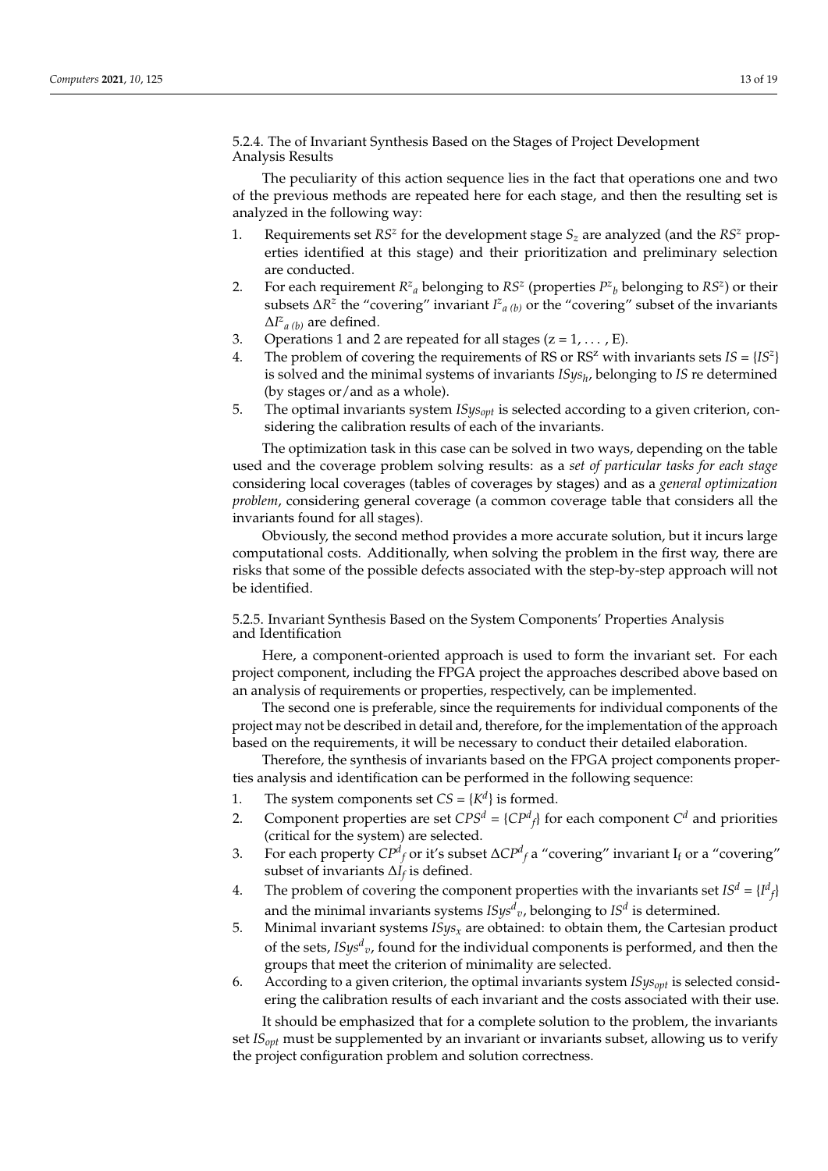5.2.4. The of Invariant Synthesis Based on the Stages of Project Development Analysis Results

The peculiarity of this action sequence lies in the fact that operations one and two of the previous methods are repeated here for each stage, and then the resulting set is analyzed in the following way:

- 1. Requirements set  $RS^z$  for the development stage  $S_z$  are analyzed (and the  $RS^z$  properties identified at this stage) and their prioritization and preliminary selection are conducted.
- 2. For each requirement  $R^z$ <sup>*a*</sup> belonging to  $RS^z$  (properties  $P^z$ <sub>*b*</sub> belonging to  $RS^z$ ) or their subsets  $\Delta R^z$  the "covering" invariant  $I^z{}_{a(b)}$  or the "covering" subset of the invariants ∆*I z a (b)* are defined.
- 3. Operations 1 and 2 are repeated for all stages  $(z = 1, \dots, E)$ .
- 4. The problem of covering the requirements of RS or RS<sup>*z*</sup> with invariants sets  $IS = \{IS^z\}$ is solved and the minimal systems of invariants *ISys<sup>h</sup>* , belonging to *IS* re determined (by stages or/and as a whole).
- 5. The optimal invariants system *ISysopt* is selected according to a given criterion, considering the calibration results of each of the invariants.

The optimization task in this case can be solved in two ways, depending on the table used and the coverage problem solving results: as a *set of particular tasks for each stage* considering local coverages (tables of coverages by stages) and as a *general optimization problem*, considering general coverage (a common coverage table that considers all the invariants found for all stages).

Obviously, the second method provides a more accurate solution, but it incurs large computational costs. Additionally, when solving the problem in the first way, there are risks that some of the possible defects associated with the step-by-step approach will not be identified.

5.2.5. Invariant Synthesis Based on the System Components' Properties Analysis and Identification

Here, a component-oriented approach is used to form the invariant set. For each project component, including the FPGA project the approaches described above based on an analysis of requirements or properties, respectively, can be implemented.

The second one is preferable, since the requirements for individual components of the project may not be described in detail and, therefore, for the implementation of the approach based on the requirements, it will be necessary to conduct their detailed elaboration.

Therefore, the synthesis of invariants based on the FPGA project components properties analysis and identification can be performed in the following sequence:

- 1. The system components set  $CS = \{K^d\}$  is formed.
- 2. Component properties are set  $CPS<sup>d</sup> = {CP<sup>d</sup><sub>f</sub>}$  for each component  $C<sup>d</sup>$  and priorities (critical for the system) are selected.
- 3. For each property *CP<sup>d</sup> <sup>f</sup>* or it's subset ∆*CP<sup>d</sup> <sup>f</sup>* a "covering" invariant I<sup>f</sup> or a "covering" subset of invariants ∆*I<sup>f</sup>* is defined.
- 4. The problem of covering the component properties with the invariants set  $IS^d = \{I^d_f\}$ and the minimal invariants systems  $\textit{ISys}^d{}_{v}$ , belonging to  $\textit{IS}^d$  is determined.
- 5. Minimal invariant systems *ISysx* are obtained: to obtain them, the Cartesian product of the sets, *ISys<sup>d</sup> v*, found for the individual components is performed, and then the groups that meet the criterion of minimality are selected.
- 6. According to a given criterion, the optimal invariants system *ISysopt* is selected considering the calibration results of each invariant and the costs associated with their use.

It should be emphasized that for a complete solution to the problem, the invariants set *ISopt* must be supplemented by an invariant or invariants subset, allowing us to verify the project configuration problem and solution correctness.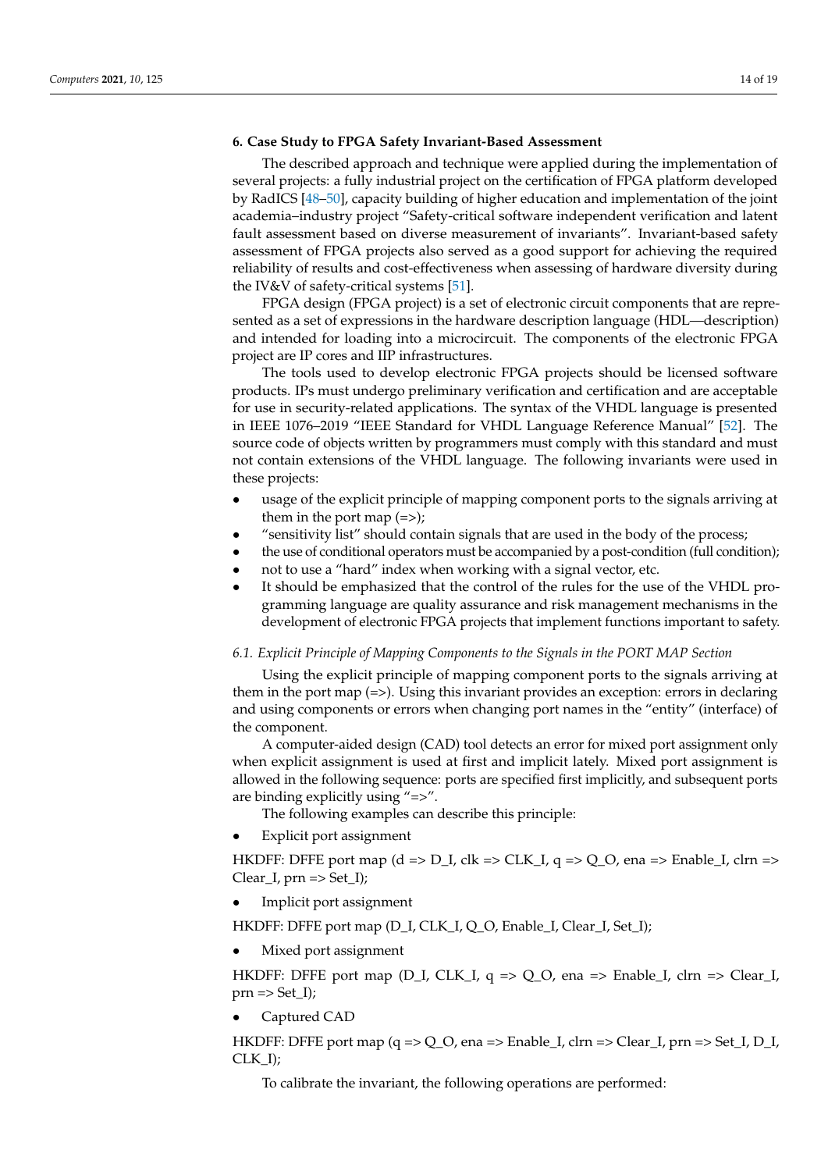## <span id="page-13-0"></span>**6. Case Study to FPGA Safety Invariant-Based Assessment**

The described approach and technique were applied during the implementation of several projects: a fully industrial project on the certification of FPGA platform developed by RadICS [\[48–](#page-18-3)[50\]](#page-18-4), capacity building of higher education and implementation of the joint academia–industry project "Safety-critical software independent verification and latent fault assessment based on diverse measurement of invariants". Invariant-based safety assessment of FPGA projects also served as a good support for achieving the required reliability of results and cost-effectiveness when assessing of hardware diversity during the IV&V of safety-critical systems [\[51\]](#page-18-5).

FPGA design (FPGA project) is a set of electronic circuit components that are represented as a set of expressions in the hardware description language (HDL—description) and intended for loading into a microcircuit. The components of the electronic FPGA project are IP cores and IIP infrastructures.

The tools used to develop electronic FPGA projects should be licensed software products. IPs must undergo preliminary verification and certification and are acceptable for use in security-related applications. The syntax of the VHDL language is presented in IEEE 1076–2019 "IEEE Standard for VHDL Language Reference Manual" [\[52\]](#page-18-6). The source code of objects written by programmers must comply with this standard and must not contain extensions of the VHDL language. The following invariants were used in these projects:

- usage of the explicit principle of mapping component ports to the signals arriving at them in the port map  $(=>)$ ;
- "sensitivity list" should contain signals that are used in the body of the process;
- the use of conditional operators must be accompanied by a post-condition (full condition);
- not to use a "hard" index when working with a signal vector, etc.
- It should be emphasized that the control of the rules for the use of the VHDL programming language are quality assurance and risk management mechanisms in the development of electronic FPGA projects that implement functions important to safety.

#### *6.1. Explicit Principle of Mapping Components to the Signals in the PORT MAP Section*

Using the explicit principle of mapping component ports to the signals arriving at them in the port map (=>). Using this invariant provides an exception: errors in declaring and using components or errors when changing port names in the "entity" (interface) of the component.

A computer-aided design (CAD) tool detects an error for mixed port assignment only when explicit assignment is used at first and implicit lately. Mixed port assignment is allowed in the following sequence: ports are specified first implicitly, and subsequent ports are binding explicitly using "=>".

The following examples can describe this principle:

Explicit port assignment

HKDFF: DFFE port map (d => D I, clk => CLK I, q => Q O, ena => Enable I, clrn =>  $Clear_I$ , prn  $\Rightarrow$  Set $_I$ );

Implicit port assignment

HKDFF: DFFE port map (D\_I, CLK\_I, Q\_O, Enable\_I, Clear\_I, Set\_I);

• Mixed port assignment

HKDFF: DFFE port map (D\_I, CLK\_I, q => Q\_O, ena => Enable\_I, clrn => Clear\_I,  $prn \Rightarrow Set_I$ ;

• Captured CAD

HKDFF: DFFE port map (q => Q\_O, ena => Enable\_I, clrn => Clear\_I, prn => Set\_I, D\_I, CLK\_I);

To calibrate the invariant, the following operations are performed: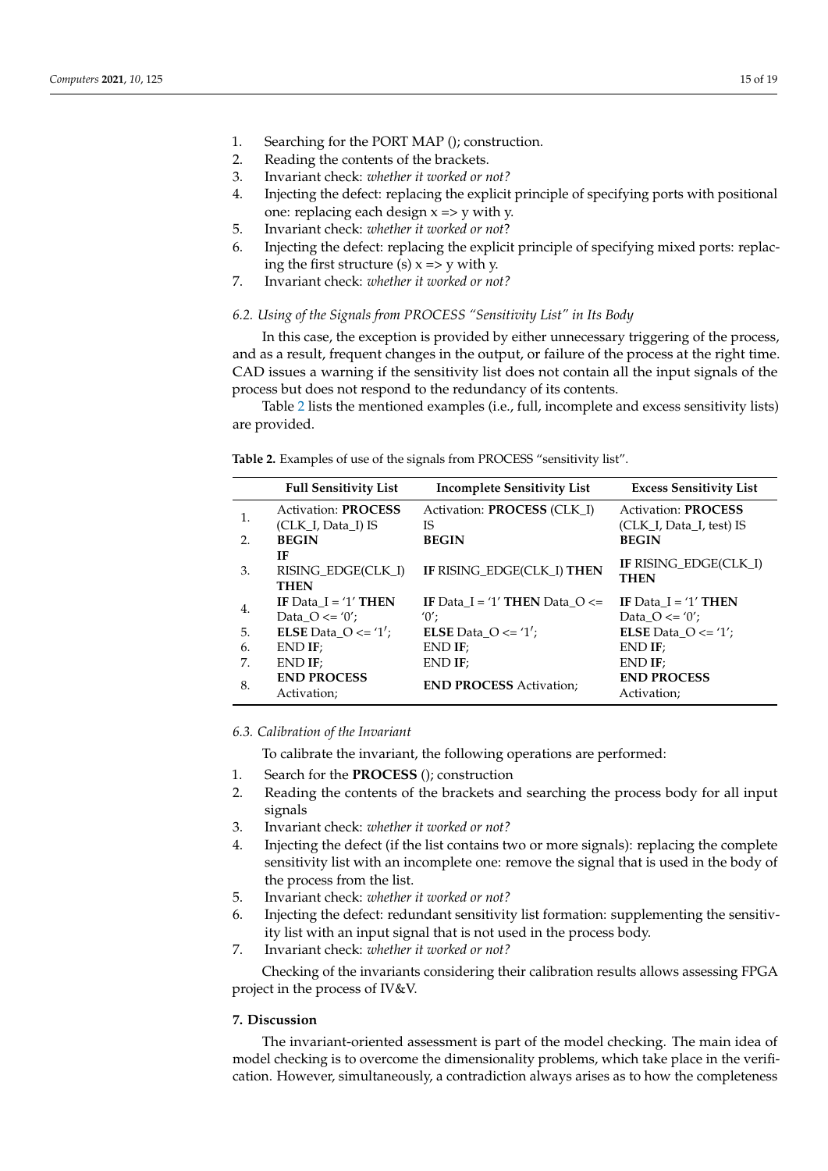- 1. Searching for the PORT MAP (); construction.
- 2. Reading the contents of the brackets.
- 3. Invariant check: *whether it worked or not?*
- 4. Injecting the defect: replacing the explicit principle of specifying ports with positional one: replacing each design  $x \Rightarrow y$  with y.
- 5. Invariant check: *whether it worked or not*?
- 6. Injecting the defect: replacing the explicit principle of specifying mixed ports: replacing the first structure (s)  $x \Rightarrow y$  with y.
- 7. Invariant check: *whether it worked or not?*

## *6.2. Using of the Signals from PROCESS "Sensitivity List" in Its Body*

In this case, the exception is provided by either unnecessary triggering of the process, and as a result, frequent changes in the output, or failure of the process at the right time. CAD issues a warning if the sensitivity list does not contain all the input signals of the process but does not respond to the redundancy of its contents.

Table [2](#page-14-1) lists the mentioned examples (i.e., full, incomplete and excess sensitivity lists) are provided.

<span id="page-14-1"></span>**Table 2.** Examples of use of the signals from PROCESS "sensitivity list".

|     | <b>Full Sensitivity List</b>                     | <b>Incomplete Sensitivity List</b>              | <b>Excess Sensitivity List</b>                         |
|-----|--------------------------------------------------|-------------------------------------------------|--------------------------------------------------------|
| 1.  | <b>Activation: PROCESS</b><br>(CLK I, Data I) IS | Activation: <b>PROCESS</b> (CLK I)<br><b>IS</b> | <b>Activation: PROCESS</b><br>(CLK I, Data I, test) IS |
| 2.  | <b>BEGIN</b>                                     | <b>BEGIN</b>                                    | <b>BEGIN</b>                                           |
| 3.  | IF<br>RISING EDGE(CLK I)<br><b>THEN</b>          | IF RISING_EDGE(CLK_I) THEN                      | IF RISING EDGE(CLK I)<br><b>THEN</b>                   |
| 4.  | IF Data $I = '1'$ THEN<br>Data $Q \leq v'$ ;     | IF Data $I = '1'$ THEN Data $O \le$<br>$'0'$ :  | IF Data $I = '1'$ THEN<br>Data $Q \leq v'$ ;           |
| .5. | <b>ELSE</b> Data $O \leq 1$ <sup>'</sup> ;       | <b>ELSE</b> Data $O \leq 1$ ;                   | <b>ELSE</b> Data $O \leq 1$ ;                          |
| 6.  | $END$ IF;                                        | END IF:                                         | $END$ IF;                                              |
| 7.  | $END$ IF;                                        | END IF:                                         | $END$ IF;                                              |
| 8.  | <b>END PROCESS</b><br>Activation;                | <b>END PROCESS Activation:</b>                  | <b>END PROCESS</b><br>Activation;                      |

# *6.3. Calibration of the Invariant*

To calibrate the invariant, the following operations are performed:

- 1. Search for the **PROCESS** (); construction
- 2. Reading the contents of the brackets and searching the process body for all input signals
- 3. Invariant check: *whether it worked or not?*
- 4. Injecting the defect (if the list contains two or more signals): replacing the complete sensitivity list with an incomplete one: remove the signal that is used in the body of the process from the list.
- 5. Invariant check: *whether it worked or not?*
- 6. Injecting the defect: redundant sensitivity list formation: supplementing the sensitivity list with an input signal that is not used in the process body.
- 7. Invariant check: *whether it worked or not?*

Checking of the invariants considering their calibration results allows assessing FPGA project in the process of IV&V.

#### <span id="page-14-0"></span>**7. Discussion**

The invariant-oriented assessment is part of the model checking. The main idea of model checking is to overcome the dimensionality problems, which take place in the verification. However, simultaneously, a contradiction always arises as to how the completeness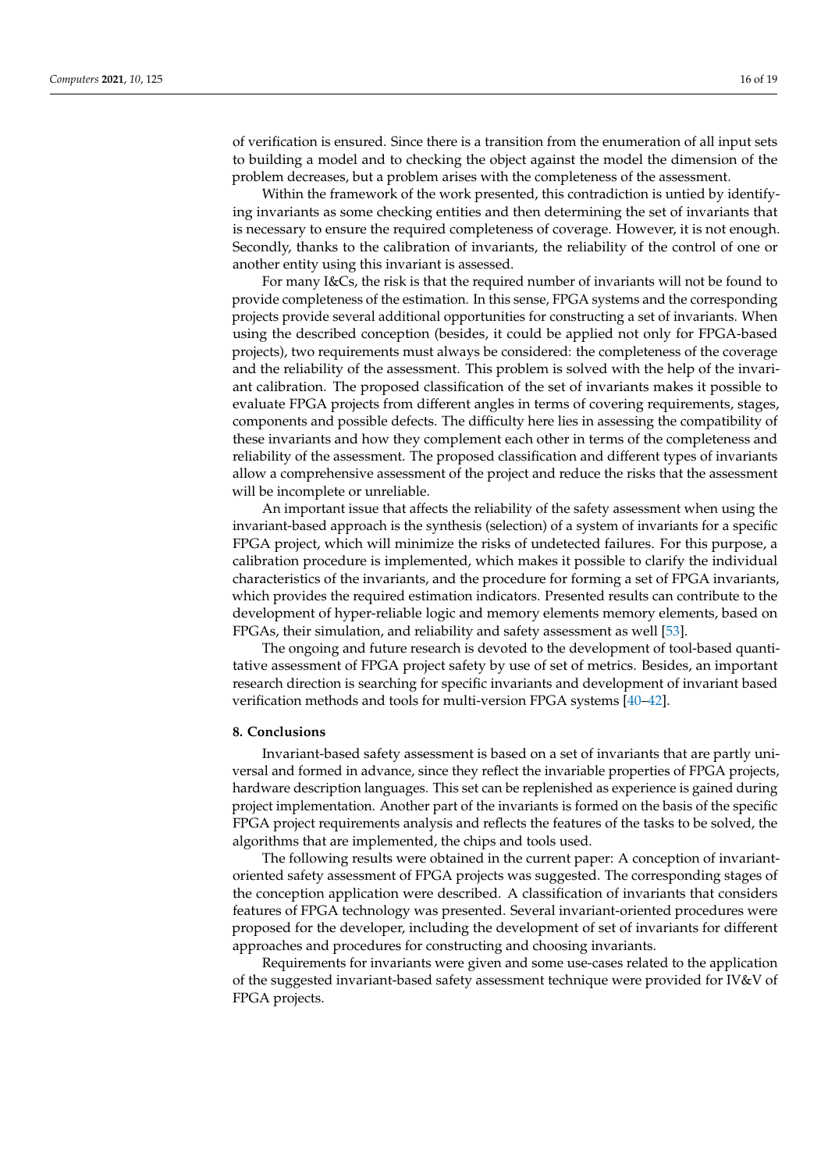of verification is ensured. Since there is a transition from the enumeration of all input sets to building a model and to checking the object against the model the dimension of the problem decreases, but a problem arises with the completeness of the assessment.

Within the framework of the work presented, this contradiction is untied by identifying invariants as some checking entities and then determining the set of invariants that is necessary to ensure the required completeness of coverage. However, it is not enough. Secondly, thanks to the calibration of invariants, the reliability of the control of one or another entity using this invariant is assessed.

For many I&Cs, the risk is that the required number of invariants will not be found to provide completeness of the estimation. In this sense, FPGA systems and the corresponding projects provide several additional opportunities for constructing a set of invariants. When using the described conception (besides, it could be applied not only for FPGA-based projects), two requirements must always be considered: the completeness of the coverage and the reliability of the assessment. This problem is solved with the help of the invariant calibration. The proposed classification of the set of invariants makes it possible to evaluate FPGA projects from different angles in terms of covering requirements, stages, components and possible defects. The difficulty here lies in assessing the compatibility of these invariants and how they complement each other in terms of the completeness and reliability of the assessment. The proposed classification and different types of invariants allow a comprehensive assessment of the project and reduce the risks that the assessment will be incomplete or unreliable.

An important issue that affects the reliability of the safety assessment when using the invariant-based approach is the synthesis (selection) of a system of invariants for a specific FPGA project, which will minimize the risks of undetected failures. For this purpose, a calibration procedure is implemented, which makes it possible to clarify the individual characteristics of the invariants, and the procedure for forming a set of FPGA invariants, which provides the required estimation indicators. Presented results can contribute to the development of hyper-reliable logic and memory elements memory elements, based on FPGAs, their simulation, and reliability and safety assessment as well [\[53\]](#page-18-7).

The ongoing and future research is devoted to the development of tool-based quantitative assessment of FPGA project safety by use of set of metrics. Besides, an important research direction is searching for specific invariants and development of invariant based verification methods and tools for multi-version FPGA systems [\[40](#page-17-25)[–42\]](#page-17-22).

#### **8. Conclusions**

Invariant-based safety assessment is based on a set of invariants that are partly universal and formed in advance, since they reflect the invariable properties of FPGA projects, hardware description languages. This set can be replenished as experience is gained during project implementation. Another part of the invariants is formed on the basis of the specific FPGA project requirements analysis and reflects the features of the tasks to be solved, the algorithms that are implemented, the chips and tools used.

The following results were obtained in the current paper: A conception of invariantoriented safety assessment of FPGA projects was suggested. The corresponding stages of the conception application were described. A classification of invariants that considers features of FPGA technology was presented. Several invariant-oriented procedures were proposed for the developer, including the development of set of invariants for different approaches and procedures for constructing and choosing invariants.

Requirements for invariants were given and some use-cases related to the application of the suggested invariant-based safety assessment technique were provided for IV&V of FPGA projects.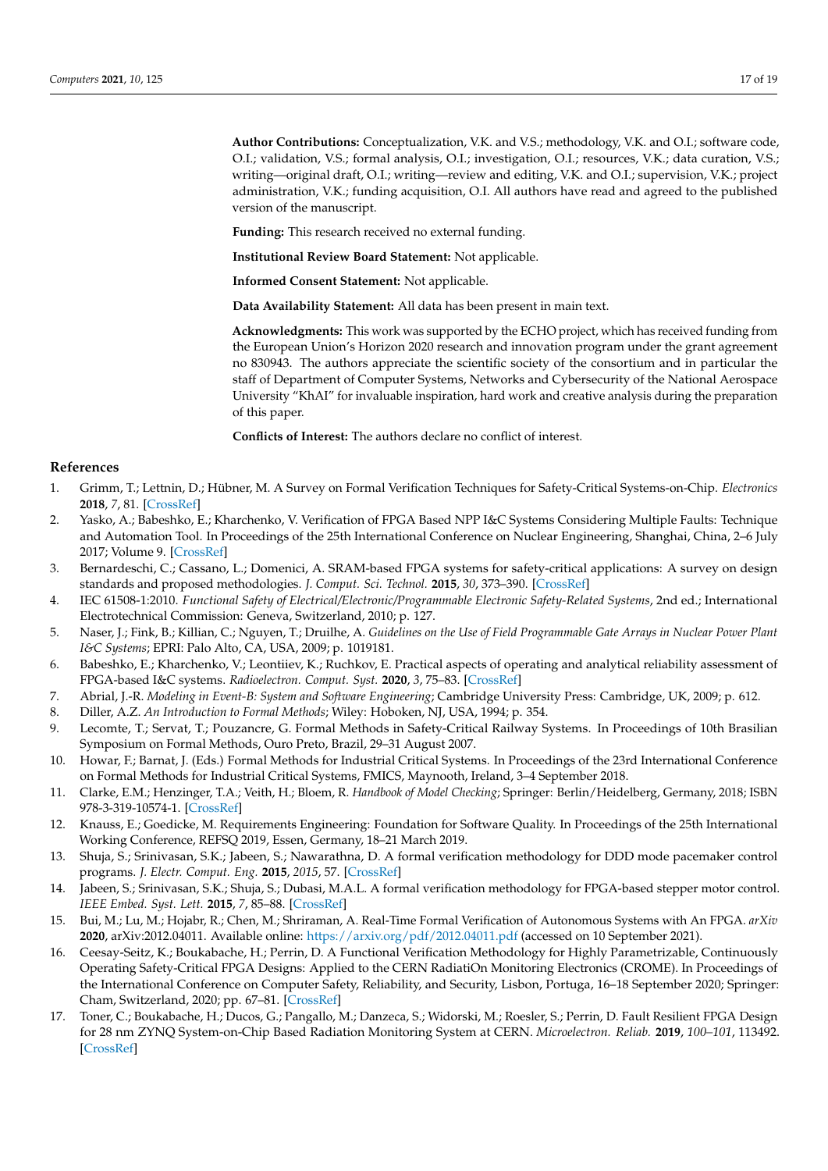**Author Contributions:** Conceptualization, V.K. and V.S.; methodology, V.K. and O.I.; software code, O.I.; validation, V.S.; formal analysis, O.I.; investigation, O.I.; resources, V.K.; data curation, V.S.; writing—original draft, O.I.; writing—review and editing, V.K. and O.I.; supervision, V.K.; project administration, V.K.; funding acquisition, O.I. All authors have read and agreed to the published version of the manuscript.

**Funding:** This research received no external funding.

**Institutional Review Board Statement:** Not applicable.

**Informed Consent Statement:** Not applicable.

**Data Availability Statement:** All data has been present in main text.

**Acknowledgments:** This work was supported by the ECHO project, which has received funding from the European Union's Horizon 2020 research and innovation program under the grant agreement no 830943. The authors appreciate the scientific society of the consortium and in particular the staff of Department of Computer Systems, Networks and Cybersecurity of the National Aerospace University "KhAI" for invaluable inspiration, hard work and creative analysis during the preparation of this paper.

**Conflicts of Interest:** The authors declare no conflict of interest.

## **References**

- <span id="page-16-0"></span>1. Grimm, T.; Lettnin, D.; Hübner, M. A Survey on Formal Verification Techniques for Safety-Critical Systems-on-Chip. *Electronics* **2018**, *7*, 81. [\[CrossRef\]](http://doi.org/10.3390/electronics7060081)
- 2. Yasko, A.; Babeshko, E.; Kharchenko, V. Verification of FPGA Based NPP I&C Systems Considering Multiple Faults: Technique and Automation Tool. In Proceedings of the 25th International Conference on Nuclear Engineering, Shanghai, China, 2–6 July 2017; Volume 9. [\[CrossRef\]](http://doi.org/10.1115/ICONE25-67065)
- <span id="page-16-1"></span>3. Bernardeschi, C.; Cassano, L.; Domenici, A. SRAM-based FPGA systems for safety-critical applications: A survey on design standards and proposed methodologies. *J. Comput. Sci. Technol.* **2015**, *30*, 373–390. [\[CrossRef\]](http://doi.org/10.1007/s11390-015-1530-5)
- <span id="page-16-2"></span>4. IEC 61508-1:2010. *Functional Safety of Electrical/Electronic/Programmable Electronic Safety-Related Systems*, 2nd ed.; International Electrotechnical Commission: Geneva, Switzerland, 2010; p. 127.
- <span id="page-16-3"></span>5. Naser, J.; Fink, B.; Killian, C.; Nguyen, T.; Druilhe, A. *Guidelines on the Use of Field Programmable Gate Arrays in Nuclear Power Plant I&C Systems*; EPRI: Palo Alto, CA, USA, 2009; p. 1019181.
- <span id="page-16-4"></span>6. Babeshko, E.; Kharchenko, V.; Leontiiev, K.; Ruchkov, E. Practical aspects of operating and analytical reliability assessment of FPGA-based I&C systems. *Radioelectron. Comput. Syst.* **2020**, *3*, 75–83. [\[CrossRef\]](http://doi.org/10.32620/reks.2020.3.08)
- <span id="page-16-5"></span>7. Abrial, J.-R. *Modeling in Event-B: System and Software Engineering*; Cambridge University Press: Cambridge, UK, 2009; p. 612.
- 8. Diller, A.Z. *An Introduction to Formal Methods*; Wiley: Hoboken, NJ, USA, 1994; p. 354.
- <span id="page-16-7"></span>9. Lecomte, T.; Servat, T.; Pouzancre, G. Formal Methods in Safety-Critical Railway Systems. In Proceedings of 10th Brasilian Symposium on Formal Methods, Ouro Preto, Brazil, 29–31 August 2007.
- <span id="page-16-6"></span>10. Howar, F.; Barnat, J. (Eds.) Formal Methods for Industrial Critical Systems. In Proceedings of the 23rd International Conference on Formal Methods for Industrial Critical Systems, FMICS, Maynooth, Ireland, 3–4 September 2018.
- <span id="page-16-8"></span>11. Clarke, E.M.; Henzinger, T.A.; Veith, H.; Bloem, R. *Handbook of Model Checking*; Springer: Berlin/Heidelberg, Germany, 2018; ISBN 978-3-319-10574-1. [\[CrossRef\]](http://doi.org/10.1007/978-3-319-10575-8)
- <span id="page-16-9"></span>12. Knauss, E.; Goedicke, M. Requirements Engineering: Foundation for Software Quality. In Proceedings of the 25th International Working Conference, REFSQ 2019, Essen, Germany, 18–21 March 2019.
- <span id="page-16-10"></span>13. Shuja, S.; Srinivasan, S.K.; Jabeen, S.; Nawarathna, D. A formal verification methodology for DDD mode pacemaker control programs. *J. Electr. Comput. Eng.* **2015**, *2015*, 57. [\[CrossRef\]](http://doi.org/10.1155/2015/939028)
- <span id="page-16-11"></span>14. Jabeen, S.; Srinivasan, S.K.; Shuja, S.; Dubasi, M.A.L. A formal verification methodology for FPGA-based stepper motor control. *IEEE Embed. Syst. Lett.* **2015**, *7*, 85–88. [\[CrossRef\]](http://doi.org/10.1109/LES.2015.2450677)
- <span id="page-16-12"></span>15. Bui, M.; Lu, M.; Hojabr, R.; Chen, M.; Shriraman, A. Real-Time Formal Verification of Autonomous Systems with An FPGA. *arXiv* **2020**, arXiv:2012.04011. Available online: <https://arxiv.org/pdf/2012.04011.pdf> (accessed on 10 September 2021).
- <span id="page-16-13"></span>16. Ceesay-Seitz, K.; Boukabache, H.; Perrin, D. A Functional Verification Methodology for Highly Parametrizable, Continuously Operating Safety-Critical FPGA Designs: Applied to the CERN RadiatiOn Monitoring Electronics (CROME). In Proceedings of the International Conference on Computer Safety, Reliability, and Security, Lisbon, Portuga, 16–18 September 2020; Springer: Cham, Switzerland, 2020; pp. 67–81. [\[CrossRef\]](http://doi.org/10.1007/978-3-030-54549-9_5)
- <span id="page-16-14"></span>17. Toner, C.; Boukabache, H.; Ducos, G.; Pangallo, M.; Danzeca, S.; Widorski, M.; Roesler, S.; Perrin, D. Fault Resilient FPGA Design for 28 nm ZYNQ System-on-Chip Based Radiation Monitoring System at CERN. *Microelectron. Reliab.* **2019**, *100–101*, 113492. [\[CrossRef\]](http://doi.org/10.1016/j.microrel.2019.113492)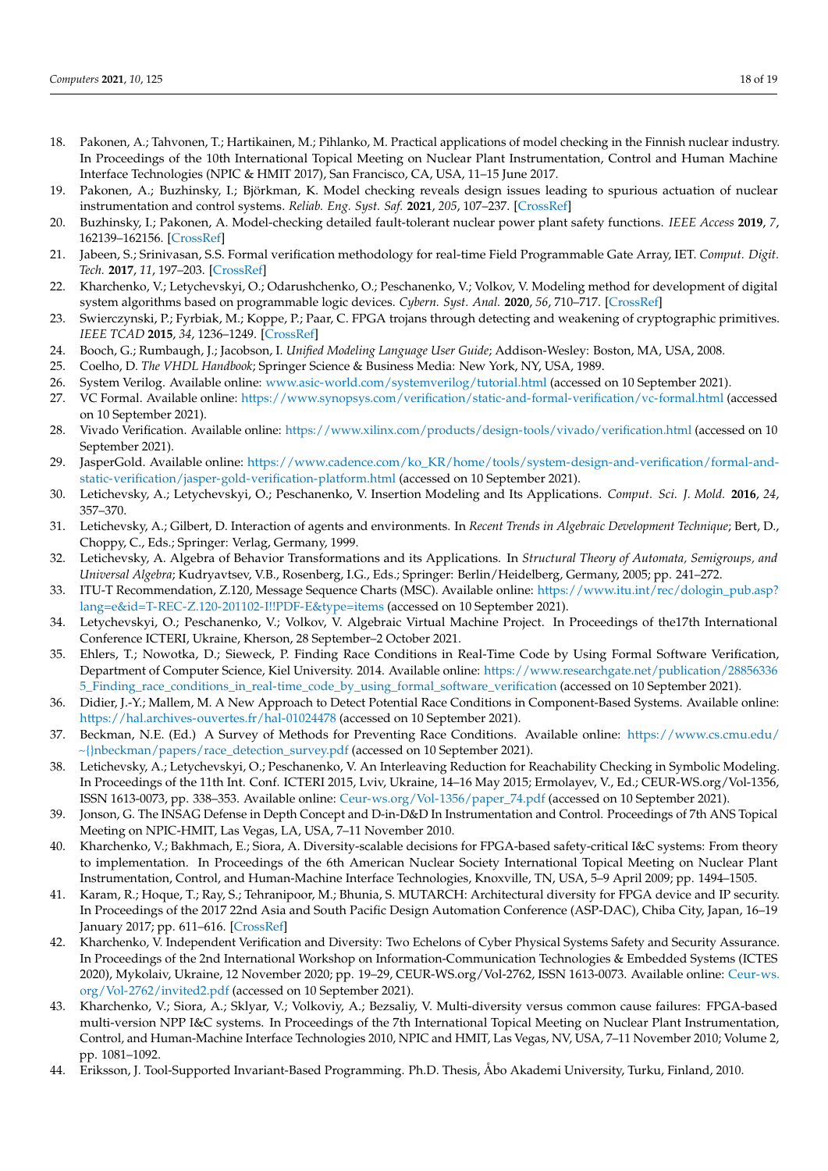- <span id="page-17-0"></span>18. Pakonen, A.; Tahvonen, T.; Hartikainen, M.; Pihlanko, M. Practical applications of model checking in the Finnish nuclear industry. In Proceedings of the 10th International Topical Meeting on Nuclear Plant Instrumentation, Control and Human Machine Interface Technologies (NPIC & HMIT 2017), San Francisco, CA, USA, 11–15 June 2017.
- 19. Pakonen, A.; Buzhinsky, I.; Björkman, K. Model checking reveals design issues leading to spurious actuation of nuclear instrumentation and control systems. *Reliab. Eng. Syst. Saf.* **2021**, *205*, 107–237. [\[CrossRef\]](http://doi.org/10.1016/j.ress.2020.107237)
- <span id="page-17-1"></span>20. Buzhinsky, I.; Pakonen, A. Model-checking detailed fault-tolerant nuclear power plant safety functions. *IEEE Access* **2019**, *7*, 162139–162156. [\[CrossRef\]](http://doi.org/10.1109/ACCESS.2019.2951938)
- <span id="page-17-2"></span>21. Jabeen, S.; Srinivasan, S.S. Formal verification methodology for real-time Field Programmable Gate Array, IET. *Comput. Digit. Tech.* **2017**, *11*, 197–203. [\[CrossRef\]](http://doi.org/10.1049/iet-cdt.2016.0189)
- <span id="page-17-3"></span>22. Kharchenko, V.; Letychevskyi, O.; Odarushchenko, O.; Peschanenko, V.; Volkov, V. Modeling method for development of digital system algorithms based on programmable logic devices. *Cybern. Syst. Anal.* **2020**, *56*, 710–717. [\[CrossRef\]](http://doi.org/10.1007/s10559-020-00289-8)
- <span id="page-17-4"></span>23. Swierczynski, P.; Fyrbiak, M.; Koppe, P.; Paar, C. FPGA trojans through detecting and weakening of cryptographic primitives. *IEEE TCAD* **2015**, *34*, 1236–1249. [\[CrossRef\]](http://doi.org/10.1109/TCAD.2015.2399455)
- <span id="page-17-5"></span>24. Booch, G.; Rumbaugh, J.; Jacobson, I. *Unified Modeling Language User Guide*; Addison-Wesley: Boston, MA, USA, 2008.
- <span id="page-17-6"></span>25. Coelho, D. *The VHDL Handbook*; Springer Science & Business Media: New York, NY, USA, 1989.
- <span id="page-17-7"></span>26. System Verilog. Available online: <www.asic-world.com/systemverilog/tutorial.html> (accessed on 10 September 2021).
- <span id="page-17-8"></span>27. VC Formal. Available online: <https://www.synopsys.com/verification/static-and-formal-verification/vc-formal.html> (accessed on 10 September 2021).
- <span id="page-17-9"></span>28. Vivado Verification. Available online: <https://www.xilinx.com/products/design-tools/vivado/verification.html> (accessed on 10 September 2021).
- <span id="page-17-10"></span>29. JasperGold. Available online: [https://www.cadence.com/ko\\_KR/home/tools/system-design-and-verification/formal-and](https://www.cadence.com/ko_KR/home/tools/system-design-and-verification/formal-and-static-verification/jasper-gold-verification-platform.html)[static-verification/jasper-gold-verification-platform.html](https://www.cadence.com/ko_KR/home/tools/system-design-and-verification/formal-and-static-verification/jasper-gold-verification-platform.html) (accessed on 10 September 2021).
- <span id="page-17-11"></span>30. Letichevsky, A.; Letychevskyi, O.; Peschanenko, V. Insertion Modeling and Its Applications. *Comput. Sci. J. Mold.* **2016**, *24*, 357–370.
- <span id="page-17-12"></span>31. Letichevsky, A.; Gilbert, D. Interaction of agents and environments. In *Recent Trends in Algebraic Development Technique*; Bert, D., Choppy, C., Eds.; Springer: Verlag, Germany, 1999.
- <span id="page-17-13"></span>32. Letichevsky, A. Algebra of Behavior Transformations and its Applications. In *Structural Theory of Automata, Semigroups, and Universal Algebra*; Kudryavtsev, V.B., Rosenberg, I.G., Eds.; Springer: Berlin/Heidelberg, Germany, 2005; pp. 241–272.
- <span id="page-17-14"></span>33. ITU-T Recommendation, Z.120, Message Sequence Charts (MSC). Available online: [https://www.itu.int/rec/dologin\\_pub.asp?](https://www.itu.int/rec/dologin_pub.asp?lang=e&id=T-REC-Z.120-201102-I!!PDF-E&type=items) [lang=e&id=T-REC-Z.120-201102-I!!PDF-E&type=items](https://www.itu.int/rec/dologin_pub.asp?lang=e&id=T-REC-Z.120-201102-I!!PDF-E&type=items) (accessed on 10 September 2021).
- <span id="page-17-15"></span>34. Letychevskyi, O.; Peschanenko, V.; Volkov, V. Algebraic Virtual Machine Project. In Proceedings of the17th International Conference ICTERI, Ukraine, Kherson, 28 September–2 October 2021.
- <span id="page-17-16"></span>35. Ehlers, T.; Nowotka, D.; Sieweck, P. Finding Race Conditions in Real-Time Code by Using Formal Software Verification, Department of Computer Science, Kiel University. 2014. Available online: [https://www.researchgate.net/publication/28856336](https://www.researchgate.net/publication/288563365_Finding_race_conditions_in_real-time_code_by_using_formal_software_verification) [5\\_Finding\\_race\\_conditions\\_in\\_real-time\\_code\\_by\\_using\\_formal\\_software\\_verification](https://www.researchgate.net/publication/288563365_Finding_race_conditions_in_real-time_code_by_using_formal_software_verification) (accessed on 10 September 2021).
- <span id="page-17-17"></span>36. Didier, J.-Y.; Mallem, M. A New Approach to Detect Potential Race Conditions in Component-Based Systems. Available online: <https://hal.archives-ouvertes.fr/hal-01024478> (accessed on 10 September 2021).
- <span id="page-17-18"></span>37. Beckman, N.E. (Ed.) A Survey of Methods for Preventing Race Conditions. Available online: [https://www.cs.cmu.edu/](https://www.cs.cmu.edu/~{}nbeckman/papers/race_detection_survey.pdf) [~{}nbeckman/papers/race\\_detection\\_survey.pdf](https://www.cs.cmu.edu/~{}nbeckman/papers/race_detection_survey.pdf) (accessed on 10 September 2021).
- <span id="page-17-19"></span>38. Letichevsky, A.; Letychevskyi, O.; Peschanenko, V. An Interleaving Reduction for Reachability Checking in Symbolic Modeling. In Proceedings of the 11th Int. Conf. ICTERI 2015, Lviv, Ukraine, 14–16 May 2015; Ermolayev, V., Ed.; CEUR-WS.org/Vol-1356, ISSN 1613-0073, pp. 338–353. Available online: [Ceur-ws.org/Vol-1356/paper\\_74.pdf](Ceur-ws.org/Vol-1356/paper_74.pdf) (accessed on 10 September 2021).
- <span id="page-17-20"></span>39. Jonson, G. The INSAG Defense in Depth Concept and D-in-D&D In Instrumentation and Control. Proceedings of 7th ANS Topical Meeting on NPIC-HMIT, Las Vegas, LA, USA, 7–11 November 2010.
- <span id="page-17-25"></span>40. Kharchenko, V.; Bakhmach, E.; Siora, A. Diversity-scalable decisions for FPGA-based safety-critical I&C systems: From theory to implementation. In Proceedings of the 6th American Nuclear Society International Topical Meeting on Nuclear Plant Instrumentation, Control, and Human-Machine Interface Technologies, Knoxville, TN, USA, 5–9 April 2009; pp. 1494–1505.
- <span id="page-17-21"></span>41. Karam, R.; Hoque, T.; Ray, S.; Tehranipoor, M.; Bhunia, S. MUTARCH: Architectural diversity for FPGA device and IP security. In Proceedings of the 2017 22nd Asia and South Pacific Design Automation Conference (ASP-DAC), Chiba City, Japan, 16–19 January 2017; pp. 611–616. [\[CrossRef\]](http://doi.org/10.1109/ASPDAC.2017.7858391)
- <span id="page-17-22"></span>42. Kharchenko, V. Independent Verification and Diversity: Two Echelons of Cyber Physical Systems Safety and Security Assurance. In Proceedings of the 2nd International Workshop on Information-Communication Technologies & Embedded Systems (ICTES 2020), Mykolaiv, Ukraine, 12 November 2020; pp. 19–29, CEUR-WS.org/Vol-2762, ISSN 1613-0073. Available online: [Ceur-ws.](Ceur-ws.org/Vol-2762/invited2.pdf) [org/Vol-2762/invited2.pdf](Ceur-ws.org/Vol-2762/invited2.pdf) (accessed on 10 September 2021).
- <span id="page-17-23"></span>43. Kharchenko, V.; Siora, A.; Sklyar, V.; Volkoviy, A.; Bezsaliy, V. Multi-diversity versus common cause failures: FPGA-based multi-version NPP I&C systems. In Proceedings of the 7th International Topical Meeting on Nuclear Plant Instrumentation, Control, and Human-Machine Interface Technologies 2010, NPIC and HMIT, Las Vegas, NV, USA, 7–11 November 2010; Volume 2, pp. 1081–1092.
- <span id="page-17-24"></span>44. Eriksson, J. Tool-Supported Invariant-Based Programming. Ph.D. Thesis, Åbo Akademi University, Turku, Finland, 2010.